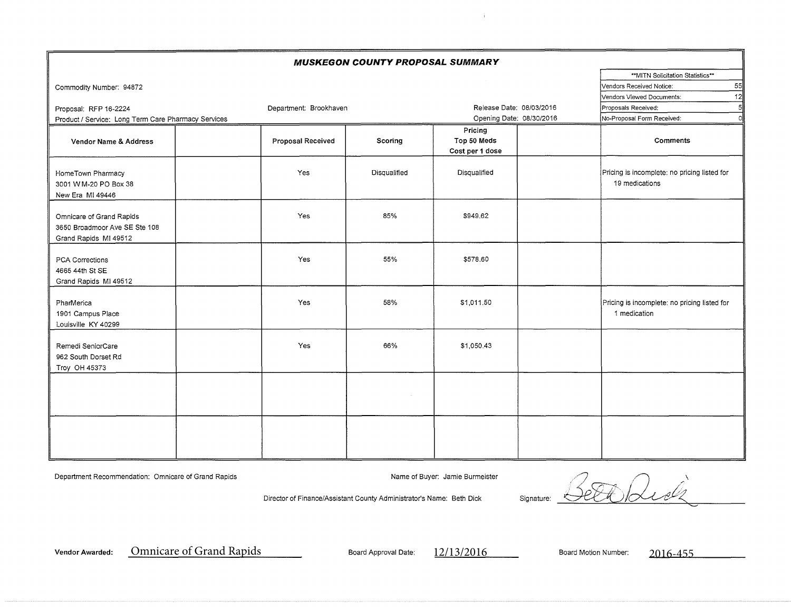| <b>MUSKEGON COUNTY PROPOSAL SUMMARY</b>                                            |                          |                                 |                                           |  |                                                                |  |  |  |  |  |  |  |  |
|------------------------------------------------------------------------------------|--------------------------|---------------------------------|-------------------------------------------|--|----------------------------------------------------------------|--|--|--|--|--|--|--|--|
|                                                                                    |                          |                                 |                                           |  |                                                                |  |  |  |  |  |  |  |  |
| Commodity Number: 94872                                                            |                          | 55<br>Vendors Received Notice:  |                                           |  |                                                                |  |  |  |  |  |  |  |  |
|                                                                                    |                          | 12<br>Vendors Viewed Documents: |                                           |  |                                                                |  |  |  |  |  |  |  |  |
| Proposal: RFP 16-2224                                                              | Release Date: 08/03/2016 | 5<br>Proposals Received:        |                                           |  |                                                                |  |  |  |  |  |  |  |  |
| Product / Service: Long Term Care Pharmacy Services                                |                          |                                 | Opening Date: 08/30/2016                  |  | $\Omega$<br>No-Proposal Form Received:                         |  |  |  |  |  |  |  |  |
| Vendor Name & Address                                                              | <b>Proposal Received</b> | Scoring                         | Pricing<br>Top 50 Meds<br>Cost per 1 dose |  | Comments                                                       |  |  |  |  |  |  |  |  |
| HomeTown Pharmacy<br>3001 W M-20 PO Box 38<br>New Era MI 49446                     | Yes                      | Disqualified                    | Disqualified                              |  | Pricing is incomplete: no pricing listed for<br>19 medications |  |  |  |  |  |  |  |  |
| Omnicare of Grand Rapids<br>3650 Broadmoor Ave SE Ste 108<br>Grand Rapids MI 49512 | Yes                      | 85%                             | \$949.62                                  |  |                                                                |  |  |  |  |  |  |  |  |
| PCA Corrections<br>4665 44th St SE<br>Grand Rapids MI 49512                        | Yes                      | 55%                             | \$578.60                                  |  |                                                                |  |  |  |  |  |  |  |  |
| PharMerica<br>1901 Campus Place<br>Louisville KY 40299                             | Yes                      | 58%                             | \$1,011.50                                |  | Pricing is incomplete: no pricing listed for<br>1 medication   |  |  |  |  |  |  |  |  |
| Remedi SeniorCare<br>962 South Dorset Rd<br>Troy OH 45373                          | Yes                      | 66%                             | \$1,050.43                                |  |                                                                |  |  |  |  |  |  |  |  |
|                                                                                    |                          |                                 |                                           |  |                                                                |  |  |  |  |  |  |  |  |
|                                                                                    |                          |                                 |                                           |  |                                                                |  |  |  |  |  |  |  |  |

Department Recommendation: Omnicare of Grand Rapids Name of Buyer: Jamie Burmeister Name of Buyer: Jamie Burmeister

÷.

Director of Finance/Assistant County Administrator's Name: Beth Dick Signature:  $2$   $\sigma$   $\alpha$   $\beta$ Sett Kidz

Vendor Awarded: <u>Omnicare of Grand Rapids Communication Board Approval Date: 2016. Associated: 2016-455 Motion Number: 2016-455 Motion Number: 2016-455 Motion Number: 2016-455 Motion Number: 2016-455 Motion Number: 2016-45</u>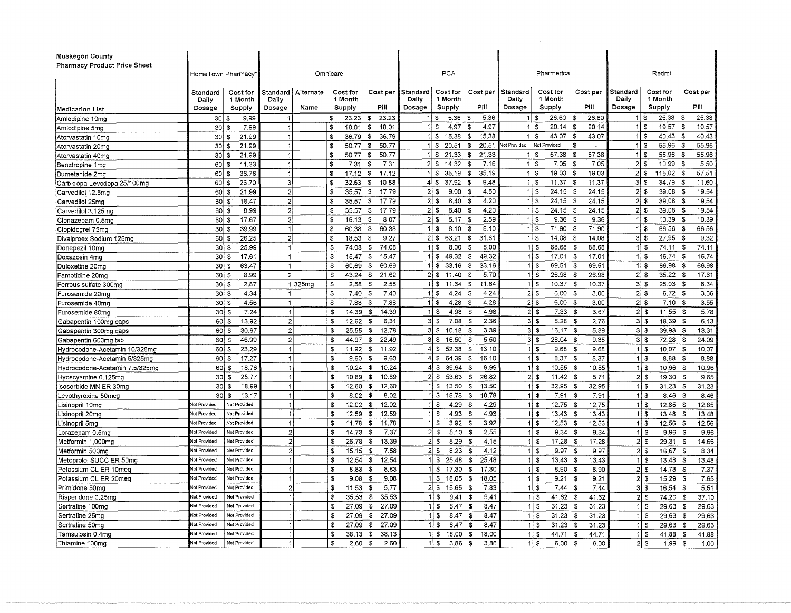| <b>Pharmacy Product Price Sheet</b><br>PCA<br>Pharmerica<br>Redmi<br>HomeTown Pharmacy<br>Omnicare<br>Standard<br>Cost for<br>Cost per<br>l Standard<br>Cost for<br>Cost per<br>l Standard<br>Cost for<br>Cost per<br>Standard<br>Cost for<br>Standard<br>Alternate<br>Cost for<br>Cost per<br>1 Month<br>Daily<br>1 Month<br>Daily<br>1 Month<br>Daily<br>1 Month<br>Daily<br>1 Month<br>Daily<br>Pill<br>Pill<br>Pill<br>Dosage<br>Pill<br>Dosage<br>Supply<br>Dosage<br>Supply<br>Supply<br>Dosage<br>Supply<br>Dosage<br>Name<br>Supply<br><b>Medication List</b><br>5.36<br>25.38 \$<br>25.38<br>9.99<br>- \$<br>23.23<br>-\$<br>5.36<br>1   \$<br>26.60 \$<br>26.60<br>30 S<br>s<br>23.23<br>- 3<br>ا \$<br>Amlodipine 10mg<br>-1<br>11S<br>4.97<br>20.14<br>1 I S<br>19.57<br>\$<br>18.01<br>4.97<br>S<br>1   \$<br>- \$<br>20.14<br>19.57<br>- 3<br>$30 $ \$<br>7.99<br>\$<br>18.01<br>$\mathbf{1}$<br>Amlodipine 5mg<br>21.99<br>36.79<br>$1 \mid$ \$<br>15.38<br>15.38<br>$1$ \$<br>43.07<br>43.07<br>1   \$<br>40.43<br>\$<br>40.43<br>30 <sup>1</sup><br>$\overline{1}$<br>\$<br>36.79<br>\$<br>\$<br>-\$<br>\$<br>Atorvastatin 10mg<br>Not Provided<br>55.96<br>30 <sup>1</sup><br>21.99<br>\$<br>$1$ \ $\sqrt{3}$<br>20.51<br>\$<br>20.51<br>vot Provided<br>\$<br>$1$ s<br>55.96 \$<br>$\mathbf{1}$<br>50.77<br>- \$<br>50.77<br>Atorvastatin 20mc<br>- \$<br>50.77<br>21.33<br>\$<br>21.33<br>57.38<br>- \$<br>57.38<br>55.96<br>- \$<br>55.96<br>$30$ $\sqrt{5}$<br>21.99<br>$\blacktriangleleft$<br>\$<br>50.77<br>\$<br>1 S<br>1 I S<br>1 S<br>Atorvastatin 40mg<br>14.32<br>7 16<br>$1$ \$<br>7.05<br>$2 $ \$<br>10.99<br>-\$<br>5.50<br>\$<br>\$<br>7.31<br>$21$ \$<br>\$<br>7.05<br>-\$<br>60<br>11,33<br>$\mathbf{1}$<br>7.31<br>Benztropine 1mg<br>- \$<br>57.51<br>$\mathbf{r}$<br>35.19<br>- \$<br>35.19<br>11S<br>$19.03$ \$<br>19,03<br>115.02 \$<br>60<br>36.76<br>17.12<br>\$<br>17.12<br>11S<br>$21$ \$<br>Bumetanide 2mg<br>l S<br>$\mathbf 1$<br>37.92<br>$11.37$ \$<br>26.70<br>$\mathbf{3}$<br>\$<br>32.63<br>- \$<br>10,88<br>$4 $ \$<br>s.<br>9.48<br>11S<br>11.37<br>$31\sqrt{3}$<br>34.79<br>- \$<br>11.60<br>60   \$<br>Carbidopa-Levodopa 25/100mg<br>4.50<br>$\overline{2}$<br>17.79<br>21s<br>9.00<br>1 S<br>$24.15$ \$<br>24.15<br>21S<br>39.08<br>- \$<br>19.54<br>\$<br>35.57<br>\$<br>60<br>l S<br>21.99<br>- \$<br>Carvedilol 12.5mg<br>4.20<br>39.08<br>\$<br>35.57<br>\$<br>17.79<br>21S<br>8.40<br>11S<br>$24.15$ \$<br>24.15<br>$21$ \$<br>- \$<br>19.54<br>Carvedilol 25mg<br>$60 \mid$ \$<br>18.47<br>$\overline{2}$<br>- \$<br>17.79<br>4.20<br>$24.15$ \$<br>24.15<br>$21$ \$<br>39.08<br>19.54<br>$60 \mid$ \$<br>8.99<br>\$<br>35.57<br>\$<br>2 S<br>8.40<br>S.<br>$1$ \ $\sqrt{3}$<br>- \$<br>$\mathbf{2}$<br>Carvedilol 3.125mg<br>2.59<br>$1$ s<br>17.67<br>$\overline{2}$<br>\$<br>2 IS<br>11S<br>10.39 \$<br>10.39<br>$60$   \$<br>£.<br>16.13<br>8.07<br>5.17<br>- \$<br>9.36 <sup>5</sup><br>9.36<br>Clonazepam 0.5mg<br>8.10<br>71.90 \$<br>71.90<br>66.56 \$<br>30<br>39.99<br>$\vert$ 1<br>\$<br>60.38<br>\$<br>60.38<br>$1 \mid$ \$<br>8.10<br>\$<br>$1$ s<br>1   \$<br>66.56<br>Clopidogrel 75mg<br>  \$<br>31.61<br>$\overline{2}$<br>\$<br>\$<br>9.27<br>2 S <br>63.21<br>$\sqrt{3}$<br>$1$ s<br>14.08<br>- \$<br>14.08<br>3 <br>27.95<br>- \$<br>9.32<br>Divalproex Sodium 125mg<br>$60$   \$<br>26.25<br>18,53<br>$1$ s<br>1 i \$<br>74.11<br>30S<br>25.99<br>\$<br>74.08<br>S.<br>74.08<br>$1$   \$<br>8.00<br>\$<br>8.00<br>88.68<br>- \$<br>88.68<br>74.11<br>- \$<br>Donepezil 10mg<br>$\mathbf{1}$<br>30 I S<br>17,61<br>$\overline{1}$<br>15.47<br>15.47<br>$1 \,$ S<br>49.32<br>49.32<br>$1$ \ $\sqrt{3}$<br>17.01<br>17.01<br>11S<br>$16.74$ \$<br>16.74<br>Doxazosin 4mg<br>\$<br>\$<br>\$<br>- \$<br>30 S<br>33.16<br>33.16<br>69.51<br>63.47<br>\$<br>60.69<br>- \$<br>60.69<br>11S<br>\$<br>$1$ S<br>69.51<br>S<br>11 \$<br>66.98 \$<br>66.98<br>$\mathbf{1}$<br>Duloxetine 20mg<br>43.24<br>- \$<br>21.62<br>$2 $ \$<br>11.40<br><b>S</b><br>5.70<br>26.98 \$<br>26,98<br>$21$ \$<br>$35.22$ \$<br>17,61<br>$60$   \$<br>8.99<br>$\overline{2}$<br>\$<br>$1$ S<br>Famotidine 20mg<br>30 \$<br>325mg<br>2.58<br>$1$ \ \$<br>11.64<br>11.64<br>$1$ \ \$<br>10.37<br>10.37<br>$3 \mid 3$<br>25.03<br>8.34<br>2,87<br>\$<br>2.58<br>\$<br>-\$<br>-\$<br>- \$<br>Ferrous sulfate 300mg<br>2 s<br>3.36<br>$30 $ \$<br>4.34<br>\$<br>\$<br>7.40<br>4.24<br>3.00<br>$2$   \$<br>6.72S<br>Furosemide 20mg<br>7.40<br>$1$ S<br>4.24<br>- \$<br>$6.00\frac{1}{3}$<br>$\mathbf{1}$<br>4.28<br>4.28<br>$2$ s<br>30S<br>4.56<br>$\overline{1}$<br>\$<br>7.88<br>-S<br>7.88<br>$1$   \$<br>- \$<br>$6,00$ \$<br>3.00<br>$21$ \$<br>$7.10$ \$<br>3.55<br>Furosemide 40mg<br>$1 \,$ $\sim$<br>4.98<br>2s<br>2l s<br>$11.55$ \$<br>$30 \mid$ \$<br>7.24<br>\$<br>14.39<br>4.98<br>$7.33$ \$<br>3.67<br>5.78<br>\$<br>14.39<br>- \$<br>Furosemide 80mg<br>$\overline{2}$<br>31S<br>2.36<br>$3$ $\bar{3}$<br>3 I S<br>60S<br>13.92<br>\$<br>12.62<br>\$<br>6.31<br>7.08<br>-S<br>$8.28$ \$<br>2.76<br>18 39 \$<br>6.13<br>Gabapentin 100mg caps<br>30.67<br>$\overline{2}$<br>\$<br>25.55<br>\$<br>12.78<br>3 S <br>10.18<br>3.39<br>$3 \mid 3$<br>16.17 \$<br>3 <br>39.93 \$<br>13.31<br>60 S<br>-\$<br>5.39<br>Gabapentin 300mg caps<br>$\overline{2}$<br>$3 \mid 3$<br>5,50<br>$3 \,$ $\frac{1}{3}$<br>3 I \$<br>60<br>\$<br>44.97<br>-\$<br>22.49<br>16.50<br>28.04 \$<br>9.35<br>72.28 \$<br>24.09<br>46.99<br>- \$<br>Gabapentin 600mg tab<br>S<br>60<br>52.38<br>13.10<br>$9.68$ \$<br>9.68<br>10.07<br>23.29<br>$\overline{1}$<br>$\mathfrak{s}$<br>11.92<br>\$<br>11.92<br>$4 \,$ s<br>- \$<br>$1$ S<br>1 I S<br>10.07 S<br>Hydrocodone-Acetamin 10/325mg<br>l S<br>8.37S<br>17.27<br>s.<br>9.60<br>\$<br>9.60<br>64.39<br>- \$<br>16.10<br>1 I S<br>8.37<br>8.88<br>$60 \mid S$<br>4 S<br>1 I S<br>- \$<br>8.88<br>Hydrocodone-Acetamin 5/325mg<br>10.24<br>39.94<br>10.55 \$<br>60 S<br>18.76<br>\$<br>10.24<br>\$<br>4 S<br>-3<br>9.99<br>1 i S<br>10.55<br>10,96 \$<br>10.96<br>Hydrocodone-Acetamin 7.5/325mg<br>1 I S<br>$30 \mid S$<br>25.77<br>$\overline{1}$<br>\$<br>10.89<br>10.89<br>$21$ \$<br>53.63<br>26.82<br>$2$ \$<br>$11.42$ \$<br>5.71<br>2l s<br>19.30<br>9.65<br>Hyoscyamine 0.125mg<br>\$<br>\$<br>- \$<br>$30$ $\sqrt{3}$<br>\$<br>12.60<br>\$<br>12.60<br>13.50<br>\$<br>13.50<br>32.95 \$<br>$31.23$ \$<br>Isosorbide MN ER 30mg<br>18.99<br>$\overline{1}$<br>- \$<br>11S<br>32.95<br>1 I S<br>31.23<br>8.02<br>\$<br>8.02<br>18.78<br>18.78<br>30S<br>13.17<br>\$<br>1 I S<br>-\$<br>11S<br>7.91 S<br>7.91<br>$1$ s<br>$8.46$ \$<br>8.46<br>evothyroxine 50mcg.<br>\$<br>12.02<br>4.29<br>4.29<br>$1$ s<br>$12.75$ \$<br>$1$ s<br>12.85<br>Not Provided<br>Not Provided<br>S.<br>12.02<br>$11$ \$<br>12.75<br>12.85<br>- 35<br>- \$<br>isinopril 10mg.<br>\$<br>4.93<br>4.93<br>Lisinopril 20mg<br><b>Vot Provided</b><br>Not Provided<br>-1<br>\$<br>12.59<br>12.59<br>1 I S<br>- \$<br>1 I \$<br>$13.43$ \$<br>13.43<br>$1$ $\sqrt{5}$<br>$13.48$ \$<br>13.48<br>\$<br>3.92<br>3.92<br>$12.53$ \$<br><b>Not Provided</b><br>Not Provided<br>\$<br>11.78<br>11.78<br>\$<br>-S<br>$11$ \$<br>12.53<br>$1$ $\sqrt{5}$<br>$12.56$ \$<br>12.56<br>isinopril 5mg.<br>1<br>2.55<br>$\overline{2}$<br>14.73<br>- \$<br>7.37<br>21<br>5.10<br>1 I S<br>$1$ s<br>9.96<br><b>Not Provided</b><br>Not Provided<br>\$<br>-S<br>9.34<br>-\$<br>9.34<br>9.96<br>- \$<br>orazepam 0.5mg.<br>-S<br>\$<br>26.78<br>\$<br>13,39<br>21S<br>8,29<br>4.15<br><b>Not Provided</b><br>Not Provided<br>$\overline{2}$<br>- \$<br>11S<br>$17.28$ \$<br>17.28<br>2 S<br>$29.31$ \$<br>14.66<br>Metformin 1,000mg<br>Not Provided<br>Not Provided<br>\$<br>15.15<br>\$<br>7.58<br>2 I S<br>8.23<br>4.12<br>1   \$<br>9.97<br>16.67 \$<br>$\overline{2}$<br><b>S</b><br>S<br>9.97<br>$2 $ \$<br>8.34<br>Metformin 500mg<br>25.48<br>1 S<br>\$<br>-\$<br>12.54<br>25.48<br>$1$ \$<br>13.48<br>vot Provided<br>Not Provided<br>1<br>12.54<br>S<br>\$<br>13.43 \$<br>13.43<br>13.48 \$<br>\$<br>8.83<br>\$<br>8.83<br>17.30<br>17.30<br>$1$ s<br>$8.90$ \$<br>2 I S<br>$14.73$ \$<br><b>Vot Provided</b><br>Not Provided<br>1<br>1 I S<br>\$<br>8,90<br>7.37<br>Not Provided<br>1 S<br>Not Provided<br>1<br>\$<br>9.08<br>-\$<br>9.08<br>18.05<br>\$<br>18.05<br>9.21<br>\$<br>2 S<br>15.29 \$<br>1 I S<br>9.21<br>7.65<br>21s<br>зI s<br>$\overline{2}$<br>11.53<br>\$<br>5.77<br>15.65<br>7.83<br>1 S<br>7.44<br>5.51<br><b>Vot Provided</b><br>Not Provided<br>$\mathbf{s}$<br>-\$<br>7.44<br>-\$<br>16.54 \$<br>$1$ s<br>Risperidone 0.25mg<br><b>Vot Provided</b><br>$\mathbf{1}$<br>\$<br>35.53<br>- \$<br>35.53<br>$1$ \ $\sqrt{3}$<br>9.41<br>9.41<br>41.62<br>41.62<br>$2$ s<br>74.20<br>- \$<br>37.10<br>Not Provided<br>\$<br>- \$<br>\$<br>27.09<br>8.47<br>$1$ s<br><b>Vot Provided</b><br>Not Provided<br>\$<br>27.09<br>11S<br>8.47<br>S<br>31.23<br>31.23<br>$29.63$ \$<br>29.63<br>$\mathbf 1$<br>\$<br>1   \$<br>Not Provided<br>27.09<br>- \$<br>27.09<br>$1$ S<br>8.47<br>31.23<br><b>Jot Provided</b><br>\$<br>8.47<br>-S<br>$1$   \$<br>- 35<br>31.23<br>1 5<br>29.63 \$<br>29.63<br><b>Vot Provided</b><br>$1$ $\sqrt{5}$<br>8.47<br>Sertraline 50mg<br>Not Provided<br>27.09<br>$\sqrt[3]{3}$<br>27.09<br>8,47<br>$1$ s<br>31.23<br>1 I S<br>\$<br>-S<br>31.23<br>29.63<br>29.63<br>- \$<br>- \$<br>Not Provided<br>Not Provided<br>\$<br>38.13<br>\$<br>38.13<br>11S<br>18.00<br>\$<br>18,00<br>$1$ $\sqrt{5}$<br>44.71<br>\$<br>44.71<br>$1$ s<br>41.88<br>41.88<br>1<br>- \$<br>Not Provided<br>Not Provided<br>2.60<br>\$<br>2.60<br>11S<br>3.86<br>-S<br>3.86<br>$1$ s<br>\$<br>$2$ s<br>1.00<br>1<br>-\$ |                         |  |  |  |  |    |  |  |  |      |      |      |  |  |  |  |  |
|------------------------------------------------------------------------------------------------------------------------------------------------------------------------------------------------------------------------------------------------------------------------------------------------------------------------------------------------------------------------------------------------------------------------------------------------------------------------------------------------------------------------------------------------------------------------------------------------------------------------------------------------------------------------------------------------------------------------------------------------------------------------------------------------------------------------------------------------------------------------------------------------------------------------------------------------------------------------------------------------------------------------------------------------------------------------------------------------------------------------------------------------------------------------------------------------------------------------------------------------------------------------------------------------------------------------------------------------------------------------------------------------------------------------------------------------------------------------------------------------------------------------------------------------------------------------------------------------------------------------------------------------------------------------------------------------------------------------------------------------------------------------------------------------------------------------------------------------------------------------------------------------------------------------------------------------------------------------------------------------------------------------------------------------------------------------------------------------------------------------------------------------------------------------------------------------------------------------------------------------------------------------------------------------------------------------------------------------------------------------------------------------------------------------------------------------------------------------------------------------------------------------------------------------------------------------------------------------------------------------------------------------------------------------------------------------------------------------------------------------------------------------------------------------------------------------------------------------------------------------------------------------------------------------------------------------------------------------------------------------------------------------------------------------------------------------------------------------------------------------------------------------------------------------------------------------------------------------------------------------------------------------------------------------------------------------------------------------------------------------------------------------------------------------------------------------------------------------------------------------------------------------------------------------------------------------------------------------------------------------------------------------------------------------------------------------------------------------------------------------------------------------------------------------------------------------------------------------------------------------------------------------------------------------------------------------------------------------------------------------------------------------------------------------------------------------------------------------------------------------------------------------------------------------------------------------------------------------------------------------------------------------------------------------------------------------------------------------------------------------------------------------------------------------------------------------------------------------------------------------------------------------------------------------------------------------------------------------------------------------------------------------------------------------------------------------------------------------------------------------------------------------------------------------------------------------------------------------------------------------------------------------------------------------------------------------------------------------------------------------------------------------------------------------------------------------------------------------------------------------------------------------------------------------------------------------------------------------------------------------------------------------------------------------------------------------------------------------------------------------------------------------------------------------------------------------------------------------------------------------------------------------------------------------------------------------------------------------------------------------------------------------------------------------------------------------------------------------------------------------------------------------------------------------------------------------------------------------------------------------------------------------------------------------------------------------------------------------------------------------------------------------------------------------------------------------------------------------------------------------------------------------------------------------------------------------------------------------------------------------------------------------------------------------------------------------------------------------------------------------------------------------------------------------------------------------------------------------------------------------------------------------------------------------------------------------------------------------------------------------------------------------------------------------------------------------------------------------------------------------------------------------------------------------------------------------------------------------------------------------------------------------------------------------------------------------------------------------------------------------------------------------------------------------------------------------------------------------------------------------------------------------------------------------------------------------------------------------------------------------------------------------------------------------------------------------------------------------------------------------------------------------------------------------------------------------------------------------------------------------------------------------------------------------------------------------------------------------------------------------------------------------------------------------------------------------------------------------------------------------------------------------------------------------------------------------------------------------------------------------------------------------------------------------------------------------------------------------------------------------------------------------------------------------------------------------------------------------------------------------------------------------------------------------------------------------------------------------------------------------------------------------------------------------------------------------------------------------------------------------------------------------------------------------------------------------------------------------------------------------------------------------------------------------------------------------------------------------------------------------------------------------------------------------------------------------------------------------------------------------------------------------------------------------------------------------------------------------------------------------------------------------------------------------------------------------------------------------------------------------------------------------------------------------------------------------------------------------------------------------------------------------------------------------------------------------------------------------------------------------------------------------------------------------------------------------------------------------------------------------------------------------------------------------------------------------------------------------------------------------------------------------------------------------------------------------------------------------------------------------------------------------------------------------------------------------------------------|-------------------------|--|--|--|--|----|--|--|--|------|------|------|--|--|--|--|--|
|                                                                                                                                                                                                                                                                                                                                                                                                                                                                                                                                                                                                                                                                                                                                                                                                                                                                                                                                                                                                                                                                                                                                                                                                                                                                                                                                                                                                                                                                                                                                                                                                                                                                                                                                                                                                                                                                                                                                                                                                                                                                                                                                                                                                                                                                                                                                                                                                                                                                                                                                                                                                                                                                                                                                                                                                                                                                                                                                                                                                                                                                                                                                                                                                                                                                                                                                                                                                                                                                                                                                                                                                                                                                                                                                                                                                                                                                                                                                                                                                                                                                                                                                                                                                                                                                                                                                                                                                                                                                                                                                                                                                                                                                                                                                                                                                                                                                                                                                                                                                                                                                                                                                                                                                                                                                                                                                                                                                                                                                                                                                                                                                                                                                                                                                                                                                                                                                                                                                                                                                                                                                                                                                                                                                                                                                                                                                                                                                                                                                                                                                                                                                                                                                                                                                                                                                                                                                                                                                                                                                                                                                                                                                                                                                                                                                                                                                                                                                                                                                                                                                                                                                                                                                                                                                                                                                                                                                                                                                                                                                                                                                                                                                                                                                                                                                                                                                                                                                                                                                                                                                                                                                                                                                                                                                                                                                                                                                                                                                                                                                                                                                                                                                                                                                                                                                                                                                                                                                                                                                                                                                                                                                                                                                                                                  | Muskegon County         |  |  |  |  |    |  |  |  |      |      |      |  |  |  |  |  |
|                                                                                                                                                                                                                                                                                                                                                                                                                                                                                                                                                                                                                                                                                                                                                                                                                                                                                                                                                                                                                                                                                                                                                                                                                                                                                                                                                                                                                                                                                                                                                                                                                                                                                                                                                                                                                                                                                                                                                                                                                                                                                                                                                                                                                                                                                                                                                                                                                                                                                                                                                                                                                                                                                                                                                                                                                                                                                                                                                                                                                                                                                                                                                                                                                                                                                                                                                                                                                                                                                                                                                                                                                                                                                                                                                                                                                                                                                                                                                                                                                                                                                                                                                                                                                                                                                                                                                                                                                                                                                                                                                                                                                                                                                                                                                                                                                                                                                                                                                                                                                                                                                                                                                                                                                                                                                                                                                                                                                                                                                                                                                                                                                                                                                                                                                                                                                                                                                                                                                                                                                                                                                                                                                                                                                                                                                                                                                                                                                                                                                                                                                                                                                                                                                                                                                                                                                                                                                                                                                                                                                                                                                                                                                                                                                                                                                                                                                                                                                                                                                                                                                                                                                                                                                                                                                                                                                                                                                                                                                                                                                                                                                                                                                                                                                                                                                                                                                                                                                                                                                                                                                                                                                                                                                                                                                                                                                                                                                                                                                                                                                                                                                                                                                                                                                                                                                                                                                                                                                                                                                                                                                                                                                                                                                                                  |                         |  |  |  |  |    |  |  |  |      |      |      |  |  |  |  |  |
|                                                                                                                                                                                                                                                                                                                                                                                                                                                                                                                                                                                                                                                                                                                                                                                                                                                                                                                                                                                                                                                                                                                                                                                                                                                                                                                                                                                                                                                                                                                                                                                                                                                                                                                                                                                                                                                                                                                                                                                                                                                                                                                                                                                                                                                                                                                                                                                                                                                                                                                                                                                                                                                                                                                                                                                                                                                                                                                                                                                                                                                                                                                                                                                                                                                                                                                                                                                                                                                                                                                                                                                                                                                                                                                                                                                                                                                                                                                                                                                                                                                                                                                                                                                                                                                                                                                                                                                                                                                                                                                                                                                                                                                                                                                                                                                                                                                                                                                                                                                                                                                                                                                                                                                                                                                                                                                                                                                                                                                                                                                                                                                                                                                                                                                                                                                                                                                                                                                                                                                                                                                                                                                                                                                                                                                                                                                                                                                                                                                                                                                                                                                                                                                                                                                                                                                                                                                                                                                                                                                                                                                                                                                                                                                                                                                                                                                                                                                                                                                                                                                                                                                                                                                                                                                                                                                                                                                                                                                                                                                                                                                                                                                                                                                                                                                                                                                                                                                                                                                                                                                                                                                                                                                                                                                                                                                                                                                                                                                                                                                                                                                                                                                                                                                                                                                                                                                                                                                                                                                                                                                                                                                                                                                                                                                  |                         |  |  |  |  |    |  |  |  |      |      |      |  |  |  |  |  |
|                                                                                                                                                                                                                                                                                                                                                                                                                                                                                                                                                                                                                                                                                                                                                                                                                                                                                                                                                                                                                                                                                                                                                                                                                                                                                                                                                                                                                                                                                                                                                                                                                                                                                                                                                                                                                                                                                                                                                                                                                                                                                                                                                                                                                                                                                                                                                                                                                                                                                                                                                                                                                                                                                                                                                                                                                                                                                                                                                                                                                                                                                                                                                                                                                                                                                                                                                                                                                                                                                                                                                                                                                                                                                                                                                                                                                                                                                                                                                                                                                                                                                                                                                                                                                                                                                                                                                                                                                                                                                                                                                                                                                                                                                                                                                                                                                                                                                                                                                                                                                                                                                                                                                                                                                                                                                                                                                                                                                                                                                                                                                                                                                                                                                                                                                                                                                                                                                                                                                                                                                                                                                                                                                                                                                                                                                                                                                                                                                                                                                                                                                                                                                                                                                                                                                                                                                                                                                                                                                                                                                                                                                                                                                                                                                                                                                                                                                                                                                                                                                                                                                                                                                                                                                                                                                                                                                                                                                                                                                                                                                                                                                                                                                                                                                                                                                                                                                                                                                                                                                                                                                                                                                                                                                                                                                                                                                                                                                                                                                                                                                                                                                                                                                                                                                                                                                                                                                                                                                                                                                                                                                                                                                                                                                                                  |                         |  |  |  |  |    |  |  |  |      |      |      |  |  |  |  |  |
|                                                                                                                                                                                                                                                                                                                                                                                                                                                                                                                                                                                                                                                                                                                                                                                                                                                                                                                                                                                                                                                                                                                                                                                                                                                                                                                                                                                                                                                                                                                                                                                                                                                                                                                                                                                                                                                                                                                                                                                                                                                                                                                                                                                                                                                                                                                                                                                                                                                                                                                                                                                                                                                                                                                                                                                                                                                                                                                                                                                                                                                                                                                                                                                                                                                                                                                                                                                                                                                                                                                                                                                                                                                                                                                                                                                                                                                                                                                                                                                                                                                                                                                                                                                                                                                                                                                                                                                                                                                                                                                                                                                                                                                                                                                                                                                                                                                                                                                                                                                                                                                                                                                                                                                                                                                                                                                                                                                                                                                                                                                                                                                                                                                                                                                                                                                                                                                                                                                                                                                                                                                                                                                                                                                                                                                                                                                                                                                                                                                                                                                                                                                                                                                                                                                                                                                                                                                                                                                                                                                                                                                                                                                                                                                                                                                                                                                                                                                                                                                                                                                                                                                                                                                                                                                                                                                                                                                                                                                                                                                                                                                                                                                                                                                                                                                                                                                                                                                                                                                                                                                                                                                                                                                                                                                                                                                                                                                                                                                                                                                                                                                                                                                                                                                                                                                                                                                                                                                                                                                                                                                                                                                                                                                                                                                  |                         |  |  |  |  |    |  |  |  |      |      |      |  |  |  |  |  |
|                                                                                                                                                                                                                                                                                                                                                                                                                                                                                                                                                                                                                                                                                                                                                                                                                                                                                                                                                                                                                                                                                                                                                                                                                                                                                                                                                                                                                                                                                                                                                                                                                                                                                                                                                                                                                                                                                                                                                                                                                                                                                                                                                                                                                                                                                                                                                                                                                                                                                                                                                                                                                                                                                                                                                                                                                                                                                                                                                                                                                                                                                                                                                                                                                                                                                                                                                                                                                                                                                                                                                                                                                                                                                                                                                                                                                                                                                                                                                                                                                                                                                                                                                                                                                                                                                                                                                                                                                                                                                                                                                                                                                                                                                                                                                                                                                                                                                                                                                                                                                                                                                                                                                                                                                                                                                                                                                                                                                                                                                                                                                                                                                                                                                                                                                                                                                                                                                                                                                                                                                                                                                                                                                                                                                                                                                                                                                                                                                                                                                                                                                                                                                                                                                                                                                                                                                                                                                                                                                                                                                                                                                                                                                                                                                                                                                                                                                                                                                                                                                                                                                                                                                                                                                                                                                                                                                                                                                                                                                                                                                                                                                                                                                                                                                                                                                                                                                                                                                                                                                                                                                                                                                                                                                                                                                                                                                                                                                                                                                                                                                                                                                                                                                                                                                                                                                                                                                                                                                                                                                                                                                                                                                                                                                                                  |                         |  |  |  |  |    |  |  |  |      |      |      |  |  |  |  |  |
|                                                                                                                                                                                                                                                                                                                                                                                                                                                                                                                                                                                                                                                                                                                                                                                                                                                                                                                                                                                                                                                                                                                                                                                                                                                                                                                                                                                                                                                                                                                                                                                                                                                                                                                                                                                                                                                                                                                                                                                                                                                                                                                                                                                                                                                                                                                                                                                                                                                                                                                                                                                                                                                                                                                                                                                                                                                                                                                                                                                                                                                                                                                                                                                                                                                                                                                                                                                                                                                                                                                                                                                                                                                                                                                                                                                                                                                                                                                                                                                                                                                                                                                                                                                                                                                                                                                                                                                                                                                                                                                                                                                                                                                                                                                                                                                                                                                                                                                                                                                                                                                                                                                                                                                                                                                                                                                                                                                                                                                                                                                                                                                                                                                                                                                                                                                                                                                                                                                                                                                                                                                                                                                                                                                                                                                                                                                                                                                                                                                                                                                                                                                                                                                                                                                                                                                                                                                                                                                                                                                                                                                                                                                                                                                                                                                                                                                                                                                                                                                                                                                                                                                                                                                                                                                                                                                                                                                                                                                                                                                                                                                                                                                                                                                                                                                                                                                                                                                                                                                                                                                                                                                                                                                                                                                                                                                                                                                                                                                                                                                                                                                                                                                                                                                                                                                                                                                                                                                                                                                                                                                                                                                                                                                                                                                  |                         |  |  |  |  |    |  |  |  |      |      |      |  |  |  |  |  |
|                                                                                                                                                                                                                                                                                                                                                                                                                                                                                                                                                                                                                                                                                                                                                                                                                                                                                                                                                                                                                                                                                                                                                                                                                                                                                                                                                                                                                                                                                                                                                                                                                                                                                                                                                                                                                                                                                                                                                                                                                                                                                                                                                                                                                                                                                                                                                                                                                                                                                                                                                                                                                                                                                                                                                                                                                                                                                                                                                                                                                                                                                                                                                                                                                                                                                                                                                                                                                                                                                                                                                                                                                                                                                                                                                                                                                                                                                                                                                                                                                                                                                                                                                                                                                                                                                                                                                                                                                                                                                                                                                                                                                                                                                                                                                                                                                                                                                                                                                                                                                                                                                                                                                                                                                                                                                                                                                                                                                                                                                                                                                                                                                                                                                                                                                                                                                                                                                                                                                                                                                                                                                                                                                                                                                                                                                                                                                                                                                                                                                                                                                                                                                                                                                                                                                                                                                                                                                                                                                                                                                                                                                                                                                                                                                                                                                                                                                                                                                                                                                                                                                                                                                                                                                                                                                                                                                                                                                                                                                                                                                                                                                                                                                                                                                                                                                                                                                                                                                                                                                                                                                                                                                                                                                                                                                                                                                                                                                                                                                                                                                                                                                                                                                                                                                                                                                                                                                                                                                                                                                                                                                                                                                                                                                                                  |                         |  |  |  |  |    |  |  |  |      |      |      |  |  |  |  |  |
|                                                                                                                                                                                                                                                                                                                                                                                                                                                                                                                                                                                                                                                                                                                                                                                                                                                                                                                                                                                                                                                                                                                                                                                                                                                                                                                                                                                                                                                                                                                                                                                                                                                                                                                                                                                                                                                                                                                                                                                                                                                                                                                                                                                                                                                                                                                                                                                                                                                                                                                                                                                                                                                                                                                                                                                                                                                                                                                                                                                                                                                                                                                                                                                                                                                                                                                                                                                                                                                                                                                                                                                                                                                                                                                                                                                                                                                                                                                                                                                                                                                                                                                                                                                                                                                                                                                                                                                                                                                                                                                                                                                                                                                                                                                                                                                                                                                                                                                                                                                                                                                                                                                                                                                                                                                                                                                                                                                                                                                                                                                                                                                                                                                                                                                                                                                                                                                                                                                                                                                                                                                                                                                                                                                                                                                                                                                                                                                                                                                                                                                                                                                                                                                                                                                                                                                                                                                                                                                                                                                                                                                                                                                                                                                                                                                                                                                                                                                                                                                                                                                                                                                                                                                                                                                                                                                                                                                                                                                                                                                                                                                                                                                                                                                                                                                                                                                                                                                                                                                                                                                                                                                                                                                                                                                                                                                                                                                                                                                                                                                                                                                                                                                                                                                                                                                                                                                                                                                                                                                                                                                                                                                                                                                                                                                  |                         |  |  |  |  |    |  |  |  |      |      |      |  |  |  |  |  |
|                                                                                                                                                                                                                                                                                                                                                                                                                                                                                                                                                                                                                                                                                                                                                                                                                                                                                                                                                                                                                                                                                                                                                                                                                                                                                                                                                                                                                                                                                                                                                                                                                                                                                                                                                                                                                                                                                                                                                                                                                                                                                                                                                                                                                                                                                                                                                                                                                                                                                                                                                                                                                                                                                                                                                                                                                                                                                                                                                                                                                                                                                                                                                                                                                                                                                                                                                                                                                                                                                                                                                                                                                                                                                                                                                                                                                                                                                                                                                                                                                                                                                                                                                                                                                                                                                                                                                                                                                                                                                                                                                                                                                                                                                                                                                                                                                                                                                                                                                                                                                                                                                                                                                                                                                                                                                                                                                                                                                                                                                                                                                                                                                                                                                                                                                                                                                                                                                                                                                                                                                                                                                                                                                                                                                                                                                                                                                                                                                                                                                                                                                                                                                                                                                                                                                                                                                                                                                                                                                                                                                                                                                                                                                                                                                                                                                                                                                                                                                                                                                                                                                                                                                                                                                                                                                                                                                                                                                                                                                                                                                                                                                                                                                                                                                                                                                                                                                                                                                                                                                                                                                                                                                                                                                                                                                                                                                                                                                                                                                                                                                                                                                                                                                                                                                                                                                                                                                                                                                                                                                                                                                                                                                                                                                                                  |                         |  |  |  |  |    |  |  |  |      |      |      |  |  |  |  |  |
|                                                                                                                                                                                                                                                                                                                                                                                                                                                                                                                                                                                                                                                                                                                                                                                                                                                                                                                                                                                                                                                                                                                                                                                                                                                                                                                                                                                                                                                                                                                                                                                                                                                                                                                                                                                                                                                                                                                                                                                                                                                                                                                                                                                                                                                                                                                                                                                                                                                                                                                                                                                                                                                                                                                                                                                                                                                                                                                                                                                                                                                                                                                                                                                                                                                                                                                                                                                                                                                                                                                                                                                                                                                                                                                                                                                                                                                                                                                                                                                                                                                                                                                                                                                                                                                                                                                                                                                                                                                                                                                                                                                                                                                                                                                                                                                                                                                                                                                                                                                                                                                                                                                                                                                                                                                                                                                                                                                                                                                                                                                                                                                                                                                                                                                                                                                                                                                                                                                                                                                                                                                                                                                                                                                                                                                                                                                                                                                                                                                                                                                                                                                                                                                                                                                                                                                                                                                                                                                                                                                                                                                                                                                                                                                                                                                                                                                                                                                                                                                                                                                                                                                                                                                                                                                                                                                                                                                                                                                                                                                                                                                                                                                                                                                                                                                                                                                                                                                                                                                                                                                                                                                                                                                                                                                                                                                                                                                                                                                                                                                                                                                                                                                                                                                                                                                                                                                                                                                                                                                                                                                                                                                                                                                                                                                  |                         |  |  |  |  |    |  |  |  |      |      |      |  |  |  |  |  |
|                                                                                                                                                                                                                                                                                                                                                                                                                                                                                                                                                                                                                                                                                                                                                                                                                                                                                                                                                                                                                                                                                                                                                                                                                                                                                                                                                                                                                                                                                                                                                                                                                                                                                                                                                                                                                                                                                                                                                                                                                                                                                                                                                                                                                                                                                                                                                                                                                                                                                                                                                                                                                                                                                                                                                                                                                                                                                                                                                                                                                                                                                                                                                                                                                                                                                                                                                                                                                                                                                                                                                                                                                                                                                                                                                                                                                                                                                                                                                                                                                                                                                                                                                                                                                                                                                                                                                                                                                                                                                                                                                                                                                                                                                                                                                                                                                                                                                                                                                                                                                                                                                                                                                                                                                                                                                                                                                                                                                                                                                                                                                                                                                                                                                                                                                                                                                                                                                                                                                                                                                                                                                                                                                                                                                                                                                                                                                                                                                                                                                                                                                                                                                                                                                                                                                                                                                                                                                                                                                                                                                                                                                                                                                                                                                                                                                                                                                                                                                                                                                                                                                                                                                                                                                                                                                                                                                                                                                                                                                                                                                                                                                                                                                                                                                                                                                                                                                                                                                                                                                                                                                                                                                                                                                                                                                                                                                                                                                                                                                                                                                                                                                                                                                                                                                                                                                                                                                                                                                                                                                                                                                                                                                                                                                                                  |                         |  |  |  |  |    |  |  |  |      |      |      |  |  |  |  |  |
|                                                                                                                                                                                                                                                                                                                                                                                                                                                                                                                                                                                                                                                                                                                                                                                                                                                                                                                                                                                                                                                                                                                                                                                                                                                                                                                                                                                                                                                                                                                                                                                                                                                                                                                                                                                                                                                                                                                                                                                                                                                                                                                                                                                                                                                                                                                                                                                                                                                                                                                                                                                                                                                                                                                                                                                                                                                                                                                                                                                                                                                                                                                                                                                                                                                                                                                                                                                                                                                                                                                                                                                                                                                                                                                                                                                                                                                                                                                                                                                                                                                                                                                                                                                                                                                                                                                                                                                                                                                                                                                                                                                                                                                                                                                                                                                                                                                                                                                                                                                                                                                                                                                                                                                                                                                                                                                                                                                                                                                                                                                                                                                                                                                                                                                                                                                                                                                                                                                                                                                                                                                                                                                                                                                                                                                                                                                                                                                                                                                                                                                                                                                                                                                                                                                                                                                                                                                                                                                                                                                                                                                                                                                                                                                                                                                                                                                                                                                                                                                                                                                                                                                                                                                                                                                                                                                                                                                                                                                                                                                                                                                                                                                                                                                                                                                                                                                                                                                                                                                                                                                                                                                                                                                                                                                                                                                                                                                                                                                                                                                                                                                                                                                                                                                                                                                                                                                                                                                                                                                                                                                                                                                                                                                                                                                  |                         |  |  |  |  |    |  |  |  |      |      |      |  |  |  |  |  |
|                                                                                                                                                                                                                                                                                                                                                                                                                                                                                                                                                                                                                                                                                                                                                                                                                                                                                                                                                                                                                                                                                                                                                                                                                                                                                                                                                                                                                                                                                                                                                                                                                                                                                                                                                                                                                                                                                                                                                                                                                                                                                                                                                                                                                                                                                                                                                                                                                                                                                                                                                                                                                                                                                                                                                                                                                                                                                                                                                                                                                                                                                                                                                                                                                                                                                                                                                                                                                                                                                                                                                                                                                                                                                                                                                                                                                                                                                                                                                                                                                                                                                                                                                                                                                                                                                                                                                                                                                                                                                                                                                                                                                                                                                                                                                                                                                                                                                                                                                                                                                                                                                                                                                                                                                                                                                                                                                                                                                                                                                                                                                                                                                                                                                                                                                                                                                                                                                                                                                                                                                                                                                                                                                                                                                                                                                                                                                                                                                                                                                                                                                                                                                                                                                                                                                                                                                                                                                                                                                                                                                                                                                                                                                                                                                                                                                                                                                                                                                                                                                                                                                                                                                                                                                                                                                                                                                                                                                                                                                                                                                                                                                                                                                                                                                                                                                                                                                                                                                                                                                                                                                                                                                                                                                                                                                                                                                                                                                                                                                                                                                                                                                                                                                                                                                                                                                                                                                                                                                                                                                                                                                                                                                                                                                                                  |                         |  |  |  |  |    |  |  |  |      |      |      |  |  |  |  |  |
|                                                                                                                                                                                                                                                                                                                                                                                                                                                                                                                                                                                                                                                                                                                                                                                                                                                                                                                                                                                                                                                                                                                                                                                                                                                                                                                                                                                                                                                                                                                                                                                                                                                                                                                                                                                                                                                                                                                                                                                                                                                                                                                                                                                                                                                                                                                                                                                                                                                                                                                                                                                                                                                                                                                                                                                                                                                                                                                                                                                                                                                                                                                                                                                                                                                                                                                                                                                                                                                                                                                                                                                                                                                                                                                                                                                                                                                                                                                                                                                                                                                                                                                                                                                                                                                                                                                                                                                                                                                                                                                                                                                                                                                                                                                                                                                                                                                                                                                                                                                                                                                                                                                                                                                                                                                                                                                                                                                                                                                                                                                                                                                                                                                                                                                                                                                                                                                                                                                                                                                                                                                                                                                                                                                                                                                                                                                                                                                                                                                                                                                                                                                                                                                                                                                                                                                                                                                                                                                                                                                                                                                                                                                                                                                                                                                                                                                                                                                                                                                                                                                                                                                                                                                                                                                                                                                                                                                                                                                                                                                                                                                                                                                                                                                                                                                                                                                                                                                                                                                                                                                                                                                                                                                                                                                                                                                                                                                                                                                                                                                                                                                                                                                                                                                                                                                                                                                                                                                                                                                                                                                                                                                                                                                                                                                  |                         |  |  |  |  |    |  |  |  |      |      |      |  |  |  |  |  |
|                                                                                                                                                                                                                                                                                                                                                                                                                                                                                                                                                                                                                                                                                                                                                                                                                                                                                                                                                                                                                                                                                                                                                                                                                                                                                                                                                                                                                                                                                                                                                                                                                                                                                                                                                                                                                                                                                                                                                                                                                                                                                                                                                                                                                                                                                                                                                                                                                                                                                                                                                                                                                                                                                                                                                                                                                                                                                                                                                                                                                                                                                                                                                                                                                                                                                                                                                                                                                                                                                                                                                                                                                                                                                                                                                                                                                                                                                                                                                                                                                                                                                                                                                                                                                                                                                                                                                                                                                                                                                                                                                                                                                                                                                                                                                                                                                                                                                                                                                                                                                                                                                                                                                                                                                                                                                                                                                                                                                                                                                                                                                                                                                                                                                                                                                                                                                                                                                                                                                                                                                                                                                                                                                                                                                                                                                                                                                                                                                                                                                                                                                                                                                                                                                                                                                                                                                                                                                                                                                                                                                                                                                                                                                                                                                                                                                                                                                                                                                                                                                                                                                                                                                                                                                                                                                                                                                                                                                                                                                                                                                                                                                                                                                                                                                                                                                                                                                                                                                                                                                                                                                                                                                                                                                                                                                                                                                                                                                                                                                                                                                                                                                                                                                                                                                                                                                                                                                                                                                                                                                                                                                                                                                                                                                                                  |                         |  |  |  |  |    |  |  |  |      |      |      |  |  |  |  |  |
|                                                                                                                                                                                                                                                                                                                                                                                                                                                                                                                                                                                                                                                                                                                                                                                                                                                                                                                                                                                                                                                                                                                                                                                                                                                                                                                                                                                                                                                                                                                                                                                                                                                                                                                                                                                                                                                                                                                                                                                                                                                                                                                                                                                                                                                                                                                                                                                                                                                                                                                                                                                                                                                                                                                                                                                                                                                                                                                                                                                                                                                                                                                                                                                                                                                                                                                                                                                                                                                                                                                                                                                                                                                                                                                                                                                                                                                                                                                                                                                                                                                                                                                                                                                                                                                                                                                                                                                                                                                                                                                                                                                                                                                                                                                                                                                                                                                                                                                                                                                                                                                                                                                                                                                                                                                                                                                                                                                                                                                                                                                                                                                                                                                                                                                                                                                                                                                                                                                                                                                                                                                                                                                                                                                                                                                                                                                                                                                                                                                                                                                                                                                                                                                                                                                                                                                                                                                                                                                                                                                                                                                                                                                                                                                                                                                                                                                                                                                                                                                                                                                                                                                                                                                                                                                                                                                                                                                                                                                                                                                                                                                                                                                                                                                                                                                                                                                                                                                                                                                                                                                                                                                                                                                                                                                                                                                                                                                                                                                                                                                                                                                                                                                                                                                                                                                                                                                                                                                                                                                                                                                                                                                                                                                                                                                  |                         |  |  |  |  |    |  |  |  |      |      |      |  |  |  |  |  |
|                                                                                                                                                                                                                                                                                                                                                                                                                                                                                                                                                                                                                                                                                                                                                                                                                                                                                                                                                                                                                                                                                                                                                                                                                                                                                                                                                                                                                                                                                                                                                                                                                                                                                                                                                                                                                                                                                                                                                                                                                                                                                                                                                                                                                                                                                                                                                                                                                                                                                                                                                                                                                                                                                                                                                                                                                                                                                                                                                                                                                                                                                                                                                                                                                                                                                                                                                                                                                                                                                                                                                                                                                                                                                                                                                                                                                                                                                                                                                                                                                                                                                                                                                                                                                                                                                                                                                                                                                                                                                                                                                                                                                                                                                                                                                                                                                                                                                                                                                                                                                                                                                                                                                                                                                                                                                                                                                                                                                                                                                                                                                                                                                                                                                                                                                                                                                                                                                                                                                                                                                                                                                                                                                                                                                                                                                                                                                                                                                                                                                                                                                                                                                                                                                                                                                                                                                                                                                                                                                                                                                                                                                                                                                                                                                                                                                                                                                                                                                                                                                                                                                                                                                                                                                                                                                                                                                                                                                                                                                                                                                                                                                                                                                                                                                                                                                                                                                                                                                                                                                                                                                                                                                                                                                                                                                                                                                                                                                                                                                                                                                                                                                                                                                                                                                                                                                                                                                                                                                                                                                                                                                                                                                                                                                                                  |                         |  |  |  |  |    |  |  |  |      |      |      |  |  |  |  |  |
|                                                                                                                                                                                                                                                                                                                                                                                                                                                                                                                                                                                                                                                                                                                                                                                                                                                                                                                                                                                                                                                                                                                                                                                                                                                                                                                                                                                                                                                                                                                                                                                                                                                                                                                                                                                                                                                                                                                                                                                                                                                                                                                                                                                                                                                                                                                                                                                                                                                                                                                                                                                                                                                                                                                                                                                                                                                                                                                                                                                                                                                                                                                                                                                                                                                                                                                                                                                                                                                                                                                                                                                                                                                                                                                                                                                                                                                                                                                                                                                                                                                                                                                                                                                                                                                                                                                                                                                                                                                                                                                                                                                                                                                                                                                                                                                                                                                                                                                                                                                                                                                                                                                                                                                                                                                                                                                                                                                                                                                                                                                                                                                                                                                                                                                                                                                                                                                                                                                                                                                                                                                                                                                                                                                                                                                                                                                                                                                                                                                                                                                                                                                                                                                                                                                                                                                                                                                                                                                                                                                                                                                                                                                                                                                                                                                                                                                                                                                                                                                                                                                                                                                                                                                                                                                                                                                                                                                                                                                                                                                                                                                                                                                                                                                                                                                                                                                                                                                                                                                                                                                                                                                                                                                                                                                                                                                                                                                                                                                                                                                                                                                                                                                                                                                                                                                                                                                                                                                                                                                                                                                                                                                                                                                                                                                  |                         |  |  |  |  |    |  |  |  |      |      |      |  |  |  |  |  |
|                                                                                                                                                                                                                                                                                                                                                                                                                                                                                                                                                                                                                                                                                                                                                                                                                                                                                                                                                                                                                                                                                                                                                                                                                                                                                                                                                                                                                                                                                                                                                                                                                                                                                                                                                                                                                                                                                                                                                                                                                                                                                                                                                                                                                                                                                                                                                                                                                                                                                                                                                                                                                                                                                                                                                                                                                                                                                                                                                                                                                                                                                                                                                                                                                                                                                                                                                                                                                                                                                                                                                                                                                                                                                                                                                                                                                                                                                                                                                                                                                                                                                                                                                                                                                                                                                                                                                                                                                                                                                                                                                                                                                                                                                                                                                                                                                                                                                                                                                                                                                                                                                                                                                                                                                                                                                                                                                                                                                                                                                                                                                                                                                                                                                                                                                                                                                                                                                                                                                                                                                                                                                                                                                                                                                                                                                                                                                                                                                                                                                                                                                                                                                                                                                                                                                                                                                                                                                                                                                                                                                                                                                                                                                                                                                                                                                                                                                                                                                                                                                                                                                                                                                                                                                                                                                                                                                                                                                                                                                                                                                                                                                                                                                                                                                                                                                                                                                                                                                                                                                                                                                                                                                                                                                                                                                                                                                                                                                                                                                                                                                                                                                                                                                                                                                                                                                                                                                                                                                                                                                                                                                                                                                                                                                                                  |                         |  |  |  |  |    |  |  |  |      |      |      |  |  |  |  |  |
|                                                                                                                                                                                                                                                                                                                                                                                                                                                                                                                                                                                                                                                                                                                                                                                                                                                                                                                                                                                                                                                                                                                                                                                                                                                                                                                                                                                                                                                                                                                                                                                                                                                                                                                                                                                                                                                                                                                                                                                                                                                                                                                                                                                                                                                                                                                                                                                                                                                                                                                                                                                                                                                                                                                                                                                                                                                                                                                                                                                                                                                                                                                                                                                                                                                                                                                                                                                                                                                                                                                                                                                                                                                                                                                                                                                                                                                                                                                                                                                                                                                                                                                                                                                                                                                                                                                                                                                                                                                                                                                                                                                                                                                                                                                                                                                                                                                                                                                                                                                                                                                                                                                                                                                                                                                                                                                                                                                                                                                                                                                                                                                                                                                                                                                                                                                                                                                                                                                                                                                                                                                                                                                                                                                                                                                                                                                                                                                                                                                                                                                                                                                                                                                                                                                                                                                                                                                                                                                                                                                                                                                                                                                                                                                                                                                                                                                                                                                                                                                                                                                                                                                                                                                                                                                                                                                                                                                                                                                                                                                                                                                                                                                                                                                                                                                                                                                                                                                                                                                                                                                                                                                                                                                                                                                                                                                                                                                                                                                                                                                                                                                                                                                                                                                                                                                                                                                                                                                                                                                                                                                                                                                                                                                                                                                  |                         |  |  |  |  |    |  |  |  |      |      |      |  |  |  |  |  |
|                                                                                                                                                                                                                                                                                                                                                                                                                                                                                                                                                                                                                                                                                                                                                                                                                                                                                                                                                                                                                                                                                                                                                                                                                                                                                                                                                                                                                                                                                                                                                                                                                                                                                                                                                                                                                                                                                                                                                                                                                                                                                                                                                                                                                                                                                                                                                                                                                                                                                                                                                                                                                                                                                                                                                                                                                                                                                                                                                                                                                                                                                                                                                                                                                                                                                                                                                                                                                                                                                                                                                                                                                                                                                                                                                                                                                                                                                                                                                                                                                                                                                                                                                                                                                                                                                                                                                                                                                                                                                                                                                                                                                                                                                                                                                                                                                                                                                                                                                                                                                                                                                                                                                                                                                                                                                                                                                                                                                                                                                                                                                                                                                                                                                                                                                                                                                                                                                                                                                                                                                                                                                                                                                                                                                                                                                                                                                                                                                                                                                                                                                                                                                                                                                                                                                                                                                                                                                                                                                                                                                                                                                                                                                                                                                                                                                                                                                                                                                                                                                                                                                                                                                                                                                                                                                                                                                                                                                                                                                                                                                                                                                                                                                                                                                                                                                                                                                                                                                                                                                                                                                                                                                                                                                                                                                                                                                                                                                                                                                                                                                                                                                                                                                                                                                                                                                                                                                                                                                                                                                                                                                                                                                                                                                                                  |                         |  |  |  |  |    |  |  |  |      |      |      |  |  |  |  |  |
|                                                                                                                                                                                                                                                                                                                                                                                                                                                                                                                                                                                                                                                                                                                                                                                                                                                                                                                                                                                                                                                                                                                                                                                                                                                                                                                                                                                                                                                                                                                                                                                                                                                                                                                                                                                                                                                                                                                                                                                                                                                                                                                                                                                                                                                                                                                                                                                                                                                                                                                                                                                                                                                                                                                                                                                                                                                                                                                                                                                                                                                                                                                                                                                                                                                                                                                                                                                                                                                                                                                                                                                                                                                                                                                                                                                                                                                                                                                                                                                                                                                                                                                                                                                                                                                                                                                                                                                                                                                                                                                                                                                                                                                                                                                                                                                                                                                                                                                                                                                                                                                                                                                                                                                                                                                                                                                                                                                                                                                                                                                                                                                                                                                                                                                                                                                                                                                                                                                                                                                                                                                                                                                                                                                                                                                                                                                                                                                                                                                                                                                                                                                                                                                                                                                                                                                                                                                                                                                                                                                                                                                                                                                                                                                                                                                                                                                                                                                                                                                                                                                                                                                                                                                                                                                                                                                                                                                                                                                                                                                                                                                                                                                                                                                                                                                                                                                                                                                                                                                                                                                                                                                                                                                                                                                                                                                                                                                                                                                                                                                                                                                                                                                                                                                                                                                                                                                                                                                                                                                                                                                                                                                                                                                                                                                  |                         |  |  |  |  |    |  |  |  |      |      |      |  |  |  |  |  |
|                                                                                                                                                                                                                                                                                                                                                                                                                                                                                                                                                                                                                                                                                                                                                                                                                                                                                                                                                                                                                                                                                                                                                                                                                                                                                                                                                                                                                                                                                                                                                                                                                                                                                                                                                                                                                                                                                                                                                                                                                                                                                                                                                                                                                                                                                                                                                                                                                                                                                                                                                                                                                                                                                                                                                                                                                                                                                                                                                                                                                                                                                                                                                                                                                                                                                                                                                                                                                                                                                                                                                                                                                                                                                                                                                                                                                                                                                                                                                                                                                                                                                                                                                                                                                                                                                                                                                                                                                                                                                                                                                                                                                                                                                                                                                                                                                                                                                                                                                                                                                                                                                                                                                                                                                                                                                                                                                                                                                                                                                                                                                                                                                                                                                                                                                                                                                                                                                                                                                                                                                                                                                                                                                                                                                                                                                                                                                                                                                                                                                                                                                                                                                                                                                                                                                                                                                                                                                                                                                                                                                                                                                                                                                                                                                                                                                                                                                                                                                                                                                                                                                                                                                                                                                                                                                                                                                                                                                                                                                                                                                                                                                                                                                                                                                                                                                                                                                                                                                                                                                                                                                                                                                                                                                                                                                                                                                                                                                                                                                                                                                                                                                                                                                                                                                                                                                                                                                                                                                                                                                                                                                                                                                                                                                                                  |                         |  |  |  |  |    |  |  |  |      |      |      |  |  |  |  |  |
|                                                                                                                                                                                                                                                                                                                                                                                                                                                                                                                                                                                                                                                                                                                                                                                                                                                                                                                                                                                                                                                                                                                                                                                                                                                                                                                                                                                                                                                                                                                                                                                                                                                                                                                                                                                                                                                                                                                                                                                                                                                                                                                                                                                                                                                                                                                                                                                                                                                                                                                                                                                                                                                                                                                                                                                                                                                                                                                                                                                                                                                                                                                                                                                                                                                                                                                                                                                                                                                                                                                                                                                                                                                                                                                                                                                                                                                                                                                                                                                                                                                                                                                                                                                                                                                                                                                                                                                                                                                                                                                                                                                                                                                                                                                                                                                                                                                                                                                                                                                                                                                                                                                                                                                                                                                                                                                                                                                                                                                                                                                                                                                                                                                                                                                                                                                                                                                                                                                                                                                                                                                                                                                                                                                                                                                                                                                                                                                                                                                                                                                                                                                                                                                                                                                                                                                                                                                                                                                                                                                                                                                                                                                                                                                                                                                                                                                                                                                                                                                                                                                                                                                                                                                                                                                                                                                                                                                                                                                                                                                                                                                                                                                                                                                                                                                                                                                                                                                                                                                                                                                                                                                                                                                                                                                                                                                                                                                                                                                                                                                                                                                                                                                                                                                                                                                                                                                                                                                                                                                                                                                                                                                                                                                                                                                  |                         |  |  |  |  |    |  |  |  |      |      |      |  |  |  |  |  |
|                                                                                                                                                                                                                                                                                                                                                                                                                                                                                                                                                                                                                                                                                                                                                                                                                                                                                                                                                                                                                                                                                                                                                                                                                                                                                                                                                                                                                                                                                                                                                                                                                                                                                                                                                                                                                                                                                                                                                                                                                                                                                                                                                                                                                                                                                                                                                                                                                                                                                                                                                                                                                                                                                                                                                                                                                                                                                                                                                                                                                                                                                                                                                                                                                                                                                                                                                                                                                                                                                                                                                                                                                                                                                                                                                                                                                                                                                                                                                                                                                                                                                                                                                                                                                                                                                                                                                                                                                                                                                                                                                                                                                                                                                                                                                                                                                                                                                                                                                                                                                                                                                                                                                                                                                                                                                                                                                                                                                                                                                                                                                                                                                                                                                                                                                                                                                                                                                                                                                                                                                                                                                                                                                                                                                                                                                                                                                                                                                                                                                                                                                                                                                                                                                                                                                                                                                                                                                                                                                                                                                                                                                                                                                                                                                                                                                                                                                                                                                                                                                                                                                                                                                                                                                                                                                                                                                                                                                                                                                                                                                                                                                                                                                                                                                                                                                                                                                                                                                                                                                                                                                                                                                                                                                                                                                                                                                                                                                                                                                                                                                                                                                                                                                                                                                                                                                                                                                                                                                                                                                                                                                                                                                                                                                                                  |                         |  |  |  |  |    |  |  |  |      |      |      |  |  |  |  |  |
|                                                                                                                                                                                                                                                                                                                                                                                                                                                                                                                                                                                                                                                                                                                                                                                                                                                                                                                                                                                                                                                                                                                                                                                                                                                                                                                                                                                                                                                                                                                                                                                                                                                                                                                                                                                                                                                                                                                                                                                                                                                                                                                                                                                                                                                                                                                                                                                                                                                                                                                                                                                                                                                                                                                                                                                                                                                                                                                                                                                                                                                                                                                                                                                                                                                                                                                                                                                                                                                                                                                                                                                                                                                                                                                                                                                                                                                                                                                                                                                                                                                                                                                                                                                                                                                                                                                                                                                                                                                                                                                                                                                                                                                                                                                                                                                                                                                                                                                                                                                                                                                                                                                                                                                                                                                                                                                                                                                                                                                                                                                                                                                                                                                                                                                                                                                                                                                                                                                                                                                                                                                                                                                                                                                                                                                                                                                                                                                                                                                                                                                                                                                                                                                                                                                                                                                                                                                                                                                                                                                                                                                                                                                                                                                                                                                                                                                                                                                                                                                                                                                                                                                                                                                                                                                                                                                                                                                                                                                                                                                                                                                                                                                                                                                                                                                                                                                                                                                                                                                                                                                                                                                                                                                                                                                                                                                                                                                                                                                                                                                                                                                                                                                                                                                                                                                                                                                                                                                                                                                                                                                                                                                                                                                                                                                  |                         |  |  |  |  |    |  |  |  |      |      |      |  |  |  |  |  |
|                                                                                                                                                                                                                                                                                                                                                                                                                                                                                                                                                                                                                                                                                                                                                                                                                                                                                                                                                                                                                                                                                                                                                                                                                                                                                                                                                                                                                                                                                                                                                                                                                                                                                                                                                                                                                                                                                                                                                                                                                                                                                                                                                                                                                                                                                                                                                                                                                                                                                                                                                                                                                                                                                                                                                                                                                                                                                                                                                                                                                                                                                                                                                                                                                                                                                                                                                                                                                                                                                                                                                                                                                                                                                                                                                                                                                                                                                                                                                                                                                                                                                                                                                                                                                                                                                                                                                                                                                                                                                                                                                                                                                                                                                                                                                                                                                                                                                                                                                                                                                                                                                                                                                                                                                                                                                                                                                                                                                                                                                                                                                                                                                                                                                                                                                                                                                                                                                                                                                                                                                                                                                                                                                                                                                                                                                                                                                                                                                                                                                                                                                                                                                                                                                                                                                                                                                                                                                                                                                                                                                                                                                                                                                                                                                                                                                                                                                                                                                                                                                                                                                                                                                                                                                                                                                                                                                                                                                                                                                                                                                                                                                                                                                                                                                                                                                                                                                                                                                                                                                                                                                                                                                                                                                                                                                                                                                                                                                                                                                                                                                                                                                                                                                                                                                                                                                                                                                                                                                                                                                                                                                                                                                                                                                                                  |                         |  |  |  |  |    |  |  |  |      |      |      |  |  |  |  |  |
|                                                                                                                                                                                                                                                                                                                                                                                                                                                                                                                                                                                                                                                                                                                                                                                                                                                                                                                                                                                                                                                                                                                                                                                                                                                                                                                                                                                                                                                                                                                                                                                                                                                                                                                                                                                                                                                                                                                                                                                                                                                                                                                                                                                                                                                                                                                                                                                                                                                                                                                                                                                                                                                                                                                                                                                                                                                                                                                                                                                                                                                                                                                                                                                                                                                                                                                                                                                                                                                                                                                                                                                                                                                                                                                                                                                                                                                                                                                                                                                                                                                                                                                                                                                                                                                                                                                                                                                                                                                                                                                                                                                                                                                                                                                                                                                                                                                                                                                                                                                                                                                                                                                                                                                                                                                                                                                                                                                                                                                                                                                                                                                                                                                                                                                                                                                                                                                                                                                                                                                                                                                                                                                                                                                                                                                                                                                                                                                                                                                                                                                                                                                                                                                                                                                                                                                                                                                                                                                                                                                                                                                                                                                                                                                                                                                                                                                                                                                                                                                                                                                                                                                                                                                                                                                                                                                                                                                                                                                                                                                                                                                                                                                                                                                                                                                                                                                                                                                                                                                                                                                                                                                                                                                                                                                                                                                                                                                                                                                                                                                                                                                                                                                                                                                                                                                                                                                                                                                                                                                                                                                                                                                                                                                                                                                  |                         |  |  |  |  |    |  |  |  |      |      |      |  |  |  |  |  |
|                                                                                                                                                                                                                                                                                                                                                                                                                                                                                                                                                                                                                                                                                                                                                                                                                                                                                                                                                                                                                                                                                                                                                                                                                                                                                                                                                                                                                                                                                                                                                                                                                                                                                                                                                                                                                                                                                                                                                                                                                                                                                                                                                                                                                                                                                                                                                                                                                                                                                                                                                                                                                                                                                                                                                                                                                                                                                                                                                                                                                                                                                                                                                                                                                                                                                                                                                                                                                                                                                                                                                                                                                                                                                                                                                                                                                                                                                                                                                                                                                                                                                                                                                                                                                                                                                                                                                                                                                                                                                                                                                                                                                                                                                                                                                                                                                                                                                                                                                                                                                                                                                                                                                                                                                                                                                                                                                                                                                                                                                                                                                                                                                                                                                                                                                                                                                                                                                                                                                                                                                                                                                                                                                                                                                                                                                                                                                                                                                                                                                                                                                                                                                                                                                                                                                                                                                                                                                                                                                                                                                                                                                                                                                                                                                                                                                                                                                                                                                                                                                                                                                                                                                                                                                                                                                                                                                                                                                                                                                                                                                                                                                                                                                                                                                                                                                                                                                                                                                                                                                                                                                                                                                                                                                                                                                                                                                                                                                                                                                                                                                                                                                                                                                                                                                                                                                                                                                                                                                                                                                                                                                                                                                                                                                                                  |                         |  |  |  |  |    |  |  |  |      |      |      |  |  |  |  |  |
|                                                                                                                                                                                                                                                                                                                                                                                                                                                                                                                                                                                                                                                                                                                                                                                                                                                                                                                                                                                                                                                                                                                                                                                                                                                                                                                                                                                                                                                                                                                                                                                                                                                                                                                                                                                                                                                                                                                                                                                                                                                                                                                                                                                                                                                                                                                                                                                                                                                                                                                                                                                                                                                                                                                                                                                                                                                                                                                                                                                                                                                                                                                                                                                                                                                                                                                                                                                                                                                                                                                                                                                                                                                                                                                                                                                                                                                                                                                                                                                                                                                                                                                                                                                                                                                                                                                                                                                                                                                                                                                                                                                                                                                                                                                                                                                                                                                                                                                                                                                                                                                                                                                                                                                                                                                                                                                                                                                                                                                                                                                                                                                                                                                                                                                                                                                                                                                                                                                                                                                                                                                                                                                                                                                                                                                                                                                                                                                                                                                                                                                                                                                                                                                                                                                                                                                                                                                                                                                                                                                                                                                                                                                                                                                                                                                                                                                                                                                                                                                                                                                                                                                                                                                                                                                                                                                                                                                                                                                                                                                                                                                                                                                                                                                                                                                                                                                                                                                                                                                                                                                                                                                                                                                                                                                                                                                                                                                                                                                                                                                                                                                                                                                                                                                                                                                                                                                                                                                                                                                                                                                                                                                                                                                                                                                  |                         |  |  |  |  |    |  |  |  |      |      |      |  |  |  |  |  |
|                                                                                                                                                                                                                                                                                                                                                                                                                                                                                                                                                                                                                                                                                                                                                                                                                                                                                                                                                                                                                                                                                                                                                                                                                                                                                                                                                                                                                                                                                                                                                                                                                                                                                                                                                                                                                                                                                                                                                                                                                                                                                                                                                                                                                                                                                                                                                                                                                                                                                                                                                                                                                                                                                                                                                                                                                                                                                                                                                                                                                                                                                                                                                                                                                                                                                                                                                                                                                                                                                                                                                                                                                                                                                                                                                                                                                                                                                                                                                                                                                                                                                                                                                                                                                                                                                                                                                                                                                                                                                                                                                                                                                                                                                                                                                                                                                                                                                                                                                                                                                                                                                                                                                                                                                                                                                                                                                                                                                                                                                                                                                                                                                                                                                                                                                                                                                                                                                                                                                                                                                                                                                                                                                                                                                                                                                                                                                                                                                                                                                                                                                                                                                                                                                                                                                                                                                                                                                                                                                                                                                                                                                                                                                                                                                                                                                                                                                                                                                                                                                                                                                                                                                                                                                                                                                                                                                                                                                                                                                                                                                                                                                                                                                                                                                                                                                                                                                                                                                                                                                                                                                                                                                                                                                                                                                                                                                                                                                                                                                                                                                                                                                                                                                                                                                                                                                                                                                                                                                                                                                                                                                                                                                                                                                                                  |                         |  |  |  |  |    |  |  |  |      |      |      |  |  |  |  |  |
|                                                                                                                                                                                                                                                                                                                                                                                                                                                                                                                                                                                                                                                                                                                                                                                                                                                                                                                                                                                                                                                                                                                                                                                                                                                                                                                                                                                                                                                                                                                                                                                                                                                                                                                                                                                                                                                                                                                                                                                                                                                                                                                                                                                                                                                                                                                                                                                                                                                                                                                                                                                                                                                                                                                                                                                                                                                                                                                                                                                                                                                                                                                                                                                                                                                                                                                                                                                                                                                                                                                                                                                                                                                                                                                                                                                                                                                                                                                                                                                                                                                                                                                                                                                                                                                                                                                                                                                                                                                                                                                                                                                                                                                                                                                                                                                                                                                                                                                                                                                                                                                                                                                                                                                                                                                                                                                                                                                                                                                                                                                                                                                                                                                                                                                                                                                                                                                                                                                                                                                                                                                                                                                                                                                                                                                                                                                                                                                                                                                                                                                                                                                                                                                                                                                                                                                                                                                                                                                                                                                                                                                                                                                                                                                                                                                                                                                                                                                                                                                                                                                                                                                                                                                                                                                                                                                                                                                                                                                                                                                                                                                                                                                                                                                                                                                                                                                                                                                                                                                                                                                                                                                                                                                                                                                                                                                                                                                                                                                                                                                                                                                                                                                                                                                                                                                                                                                                                                                                                                                                                                                                                                                                                                                                                                                  |                         |  |  |  |  |    |  |  |  |      |      |      |  |  |  |  |  |
|                                                                                                                                                                                                                                                                                                                                                                                                                                                                                                                                                                                                                                                                                                                                                                                                                                                                                                                                                                                                                                                                                                                                                                                                                                                                                                                                                                                                                                                                                                                                                                                                                                                                                                                                                                                                                                                                                                                                                                                                                                                                                                                                                                                                                                                                                                                                                                                                                                                                                                                                                                                                                                                                                                                                                                                                                                                                                                                                                                                                                                                                                                                                                                                                                                                                                                                                                                                                                                                                                                                                                                                                                                                                                                                                                                                                                                                                                                                                                                                                                                                                                                                                                                                                                                                                                                                                                                                                                                                                                                                                                                                                                                                                                                                                                                                                                                                                                                                                                                                                                                                                                                                                                                                                                                                                                                                                                                                                                                                                                                                                                                                                                                                                                                                                                                                                                                                                                                                                                                                                                                                                                                                                                                                                                                                                                                                                                                                                                                                                                                                                                                                                                                                                                                                                                                                                                                                                                                                                                                                                                                                                                                                                                                                                                                                                                                                                                                                                                                                                                                                                                                                                                                                                                                                                                                                                                                                                                                                                                                                                                                                                                                                                                                                                                                                                                                                                                                                                                                                                                                                                                                                                                                                                                                                                                                                                                                                                                                                                                                                                                                                                                                                                                                                                                                                                                                                                                                                                                                                                                                                                                                                                                                                                                                                  |                         |  |  |  |  |    |  |  |  |      |      |      |  |  |  |  |  |
|                                                                                                                                                                                                                                                                                                                                                                                                                                                                                                                                                                                                                                                                                                                                                                                                                                                                                                                                                                                                                                                                                                                                                                                                                                                                                                                                                                                                                                                                                                                                                                                                                                                                                                                                                                                                                                                                                                                                                                                                                                                                                                                                                                                                                                                                                                                                                                                                                                                                                                                                                                                                                                                                                                                                                                                                                                                                                                                                                                                                                                                                                                                                                                                                                                                                                                                                                                                                                                                                                                                                                                                                                                                                                                                                                                                                                                                                                                                                                                                                                                                                                                                                                                                                                                                                                                                                                                                                                                                                                                                                                                                                                                                                                                                                                                                                                                                                                                                                                                                                                                                                                                                                                                                                                                                                                                                                                                                                                                                                                                                                                                                                                                                                                                                                                                                                                                                                                                                                                                                                                                                                                                                                                                                                                                                                                                                                                                                                                                                                                                                                                                                                                                                                                                                                                                                                                                                                                                                                                                                                                                                                                                                                                                                                                                                                                                                                                                                                                                                                                                                                                                                                                                                                                                                                                                                                                                                                                                                                                                                                                                                                                                                                                                                                                                                                                                                                                                                                                                                                                                                                                                                                                                                                                                                                                                                                                                                                                                                                                                                                                                                                                                                                                                                                                                                                                                                                                                                                                                                                                                                                                                                                                                                                                                                  |                         |  |  |  |  |    |  |  |  |      |      |      |  |  |  |  |  |
|                                                                                                                                                                                                                                                                                                                                                                                                                                                                                                                                                                                                                                                                                                                                                                                                                                                                                                                                                                                                                                                                                                                                                                                                                                                                                                                                                                                                                                                                                                                                                                                                                                                                                                                                                                                                                                                                                                                                                                                                                                                                                                                                                                                                                                                                                                                                                                                                                                                                                                                                                                                                                                                                                                                                                                                                                                                                                                                                                                                                                                                                                                                                                                                                                                                                                                                                                                                                                                                                                                                                                                                                                                                                                                                                                                                                                                                                                                                                                                                                                                                                                                                                                                                                                                                                                                                                                                                                                                                                                                                                                                                                                                                                                                                                                                                                                                                                                                                                                                                                                                                                                                                                                                                                                                                                                                                                                                                                                                                                                                                                                                                                                                                                                                                                                                                                                                                                                                                                                                                                                                                                                                                                                                                                                                                                                                                                                                                                                                                                                                                                                                                                                                                                                                                                                                                                                                                                                                                                                                                                                                                                                                                                                                                                                                                                                                                                                                                                                                                                                                                                                                                                                                                                                                                                                                                                                                                                                                                                                                                                                                                                                                                                                                                                                                                                                                                                                                                                                                                                                                                                                                                                                                                                                                                                                                                                                                                                                                                                                                                                                                                                                                                                                                                                                                                                                                                                                                                                                                                                                                                                                                                                                                                                                                                  |                         |  |  |  |  |    |  |  |  |      |      |      |  |  |  |  |  |
|                                                                                                                                                                                                                                                                                                                                                                                                                                                                                                                                                                                                                                                                                                                                                                                                                                                                                                                                                                                                                                                                                                                                                                                                                                                                                                                                                                                                                                                                                                                                                                                                                                                                                                                                                                                                                                                                                                                                                                                                                                                                                                                                                                                                                                                                                                                                                                                                                                                                                                                                                                                                                                                                                                                                                                                                                                                                                                                                                                                                                                                                                                                                                                                                                                                                                                                                                                                                                                                                                                                                                                                                                                                                                                                                                                                                                                                                                                                                                                                                                                                                                                                                                                                                                                                                                                                                                                                                                                                                                                                                                                                                                                                                                                                                                                                                                                                                                                                                                                                                                                                                                                                                                                                                                                                                                                                                                                                                                                                                                                                                                                                                                                                                                                                                                                                                                                                                                                                                                                                                                                                                                                                                                                                                                                                                                                                                                                                                                                                                                                                                                                                                                                                                                                                                                                                                                                                                                                                                                                                                                                                                                                                                                                                                                                                                                                                                                                                                                                                                                                                                                                                                                                                                                                                                                                                                                                                                                                                                                                                                                                                                                                                                                                                                                                                                                                                                                                                                                                                                                                                                                                                                                                                                                                                                                                                                                                                                                                                                                                                                                                                                                                                                                                                                                                                                                                                                                                                                                                                                                                                                                                                                                                                                                                                  |                         |  |  |  |  |    |  |  |  |      |      |      |  |  |  |  |  |
|                                                                                                                                                                                                                                                                                                                                                                                                                                                                                                                                                                                                                                                                                                                                                                                                                                                                                                                                                                                                                                                                                                                                                                                                                                                                                                                                                                                                                                                                                                                                                                                                                                                                                                                                                                                                                                                                                                                                                                                                                                                                                                                                                                                                                                                                                                                                                                                                                                                                                                                                                                                                                                                                                                                                                                                                                                                                                                                                                                                                                                                                                                                                                                                                                                                                                                                                                                                                                                                                                                                                                                                                                                                                                                                                                                                                                                                                                                                                                                                                                                                                                                                                                                                                                                                                                                                                                                                                                                                                                                                                                                                                                                                                                                                                                                                                                                                                                                                                                                                                                                                                                                                                                                                                                                                                                                                                                                                                                                                                                                                                                                                                                                                                                                                                                                                                                                                                                                                                                                                                                                                                                                                                                                                                                                                                                                                                                                                                                                                                                                                                                                                                                                                                                                                                                                                                                                                                                                                                                                                                                                                                                                                                                                                                                                                                                                                                                                                                                                                                                                                                                                                                                                                                                                                                                                                                                                                                                                                                                                                                                                                                                                                                                                                                                                                                                                                                                                                                                                                                                                                                                                                                                                                                                                                                                                                                                                                                                                                                                                                                                                                                                                                                                                                                                                                                                                                                                                                                                                                                                                                                                                                                                                                                                                                  |                         |  |  |  |  |    |  |  |  |      |      |      |  |  |  |  |  |
|                                                                                                                                                                                                                                                                                                                                                                                                                                                                                                                                                                                                                                                                                                                                                                                                                                                                                                                                                                                                                                                                                                                                                                                                                                                                                                                                                                                                                                                                                                                                                                                                                                                                                                                                                                                                                                                                                                                                                                                                                                                                                                                                                                                                                                                                                                                                                                                                                                                                                                                                                                                                                                                                                                                                                                                                                                                                                                                                                                                                                                                                                                                                                                                                                                                                                                                                                                                                                                                                                                                                                                                                                                                                                                                                                                                                                                                                                                                                                                                                                                                                                                                                                                                                                                                                                                                                                                                                                                                                                                                                                                                                                                                                                                                                                                                                                                                                                                                                                                                                                                                                                                                                                                                                                                                                                                                                                                                                                                                                                                                                                                                                                                                                                                                                                                                                                                                                                                                                                                                                                                                                                                                                                                                                                                                                                                                                                                                                                                                                                                                                                                                                                                                                                                                                                                                                                                                                                                                                                                                                                                                                                                                                                                                                                                                                                                                                                                                                                                                                                                                                                                                                                                                                                                                                                                                                                                                                                                                                                                                                                                                                                                                                                                                                                                                                                                                                                                                                                                                                                                                                                                                                                                                                                                                                                                                                                                                                                                                                                                                                                                                                                                                                                                                                                                                                                                                                                                                                                                                                                                                                                                                                                                                                                                                  |                         |  |  |  |  |    |  |  |  |      |      |      |  |  |  |  |  |
|                                                                                                                                                                                                                                                                                                                                                                                                                                                                                                                                                                                                                                                                                                                                                                                                                                                                                                                                                                                                                                                                                                                                                                                                                                                                                                                                                                                                                                                                                                                                                                                                                                                                                                                                                                                                                                                                                                                                                                                                                                                                                                                                                                                                                                                                                                                                                                                                                                                                                                                                                                                                                                                                                                                                                                                                                                                                                                                                                                                                                                                                                                                                                                                                                                                                                                                                                                                                                                                                                                                                                                                                                                                                                                                                                                                                                                                                                                                                                                                                                                                                                                                                                                                                                                                                                                                                                                                                                                                                                                                                                                                                                                                                                                                                                                                                                                                                                                                                                                                                                                                                                                                                                                                                                                                                                                                                                                                                                                                                                                                                                                                                                                                                                                                                                                                                                                                                                                                                                                                                                                                                                                                                                                                                                                                                                                                                                                                                                                                                                                                                                                                                                                                                                                                                                                                                                                                                                                                                                                                                                                                                                                                                                                                                                                                                                                                                                                                                                                                                                                                                                                                                                                                                                                                                                                                                                                                                                                                                                                                                                                                                                                                                                                                                                                                                                                                                                                                                                                                                                                                                                                                                                                                                                                                                                                                                                                                                                                                                                                                                                                                                                                                                                                                                                                                                                                                                                                                                                                                                                                                                                                                                                                                                                                                  |                         |  |  |  |  |    |  |  |  |      |      |      |  |  |  |  |  |
|                                                                                                                                                                                                                                                                                                                                                                                                                                                                                                                                                                                                                                                                                                                                                                                                                                                                                                                                                                                                                                                                                                                                                                                                                                                                                                                                                                                                                                                                                                                                                                                                                                                                                                                                                                                                                                                                                                                                                                                                                                                                                                                                                                                                                                                                                                                                                                                                                                                                                                                                                                                                                                                                                                                                                                                                                                                                                                                                                                                                                                                                                                                                                                                                                                                                                                                                                                                                                                                                                                                                                                                                                                                                                                                                                                                                                                                                                                                                                                                                                                                                                                                                                                                                                                                                                                                                                                                                                                                                                                                                                                                                                                                                                                                                                                                                                                                                                                                                                                                                                                                                                                                                                                                                                                                                                                                                                                                                                                                                                                                                                                                                                                                                                                                                                                                                                                                                                                                                                                                                                                                                                                                                                                                                                                                                                                                                                                                                                                                                                                                                                                                                                                                                                                                                                                                                                                                                                                                                                                                                                                                                                                                                                                                                                                                                                                                                                                                                                                                                                                                                                                                                                                                                                                                                                                                                                                                                                                                                                                                                                                                                                                                                                                                                                                                                                                                                                                                                                                                                                                                                                                                                                                                                                                                                                                                                                                                                                                                                                                                                                                                                                                                                                                                                                                                                                                                                                                                                                                                                                                                                                                                                                                                                                                                  |                         |  |  |  |  |    |  |  |  |      |      |      |  |  |  |  |  |
|                                                                                                                                                                                                                                                                                                                                                                                                                                                                                                                                                                                                                                                                                                                                                                                                                                                                                                                                                                                                                                                                                                                                                                                                                                                                                                                                                                                                                                                                                                                                                                                                                                                                                                                                                                                                                                                                                                                                                                                                                                                                                                                                                                                                                                                                                                                                                                                                                                                                                                                                                                                                                                                                                                                                                                                                                                                                                                                                                                                                                                                                                                                                                                                                                                                                                                                                                                                                                                                                                                                                                                                                                                                                                                                                                                                                                                                                                                                                                                                                                                                                                                                                                                                                                                                                                                                                                                                                                                                                                                                                                                                                                                                                                                                                                                                                                                                                                                                                                                                                                                                                                                                                                                                                                                                                                                                                                                                                                                                                                                                                                                                                                                                                                                                                                                                                                                                                                                                                                                                                                                                                                                                                                                                                                                                                                                                                                                                                                                                                                                                                                                                                                                                                                                                                                                                                                                                                                                                                                                                                                                                                                                                                                                                                                                                                                                                                                                                                                                                                                                                                                                                                                                                                                                                                                                                                                                                                                                                                                                                                                                                                                                                                                                                                                                                                                                                                                                                                                                                                                                                                                                                                                                                                                                                                                                                                                                                                                                                                                                                                                                                                                                                                                                                                                                                                                                                                                                                                                                                                                                                                                                                                                                                                                                                  |                         |  |  |  |  |    |  |  |  |      |      |      |  |  |  |  |  |
|                                                                                                                                                                                                                                                                                                                                                                                                                                                                                                                                                                                                                                                                                                                                                                                                                                                                                                                                                                                                                                                                                                                                                                                                                                                                                                                                                                                                                                                                                                                                                                                                                                                                                                                                                                                                                                                                                                                                                                                                                                                                                                                                                                                                                                                                                                                                                                                                                                                                                                                                                                                                                                                                                                                                                                                                                                                                                                                                                                                                                                                                                                                                                                                                                                                                                                                                                                                                                                                                                                                                                                                                                                                                                                                                                                                                                                                                                                                                                                                                                                                                                                                                                                                                                                                                                                                                                                                                                                                                                                                                                                                                                                                                                                                                                                                                                                                                                                                                                                                                                                                                                                                                                                                                                                                                                                                                                                                                                                                                                                                                                                                                                                                                                                                                                                                                                                                                                                                                                                                                                                                                                                                                                                                                                                                                                                                                                                                                                                                                                                                                                                                                                                                                                                                                                                                                                                                                                                                                                                                                                                                                                                                                                                                                                                                                                                                                                                                                                                                                                                                                                                                                                                                                                                                                                                                                                                                                                                                                                                                                                                                                                                                                                                                                                                                                                                                                                                                                                                                                                                                                                                                                                                                                                                                                                                                                                                                                                                                                                                                                                                                                                                                                                                                                                                                                                                                                                                                                                                                                                                                                                                                                                                                                                                                  |                         |  |  |  |  |    |  |  |  |      |      |      |  |  |  |  |  |
|                                                                                                                                                                                                                                                                                                                                                                                                                                                                                                                                                                                                                                                                                                                                                                                                                                                                                                                                                                                                                                                                                                                                                                                                                                                                                                                                                                                                                                                                                                                                                                                                                                                                                                                                                                                                                                                                                                                                                                                                                                                                                                                                                                                                                                                                                                                                                                                                                                                                                                                                                                                                                                                                                                                                                                                                                                                                                                                                                                                                                                                                                                                                                                                                                                                                                                                                                                                                                                                                                                                                                                                                                                                                                                                                                                                                                                                                                                                                                                                                                                                                                                                                                                                                                                                                                                                                                                                                                                                                                                                                                                                                                                                                                                                                                                                                                                                                                                                                                                                                                                                                                                                                                                                                                                                                                                                                                                                                                                                                                                                                                                                                                                                                                                                                                                                                                                                                                                                                                                                                                                                                                                                                                                                                                                                                                                                                                                                                                                                                                                                                                                                                                                                                                                                                                                                                                                                                                                                                                                                                                                                                                                                                                                                                                                                                                                                                                                                                                                                                                                                                                                                                                                                                                                                                                                                                                                                                                                                                                                                                                                                                                                                                                                                                                                                                                                                                                                                                                                                                                                                                                                                                                                                                                                                                                                                                                                                                                                                                                                                                                                                                                                                                                                                                                                                                                                                                                                                                                                                                                                                                                                                                                                                                                                                  | Metoproiol SUCC ER 50mg |  |  |  |  |    |  |  |  |      |      |      |  |  |  |  |  |
|                                                                                                                                                                                                                                                                                                                                                                                                                                                                                                                                                                                                                                                                                                                                                                                                                                                                                                                                                                                                                                                                                                                                                                                                                                                                                                                                                                                                                                                                                                                                                                                                                                                                                                                                                                                                                                                                                                                                                                                                                                                                                                                                                                                                                                                                                                                                                                                                                                                                                                                                                                                                                                                                                                                                                                                                                                                                                                                                                                                                                                                                                                                                                                                                                                                                                                                                                                                                                                                                                                                                                                                                                                                                                                                                                                                                                                                                                                                                                                                                                                                                                                                                                                                                                                                                                                                                                                                                                                                                                                                                                                                                                                                                                                                                                                                                                                                                                                                                                                                                                                                                                                                                                                                                                                                                                                                                                                                                                                                                                                                                                                                                                                                                                                                                                                                                                                                                                                                                                                                                                                                                                                                                                                                                                                                                                                                                                                                                                                                                                                                                                                                                                                                                                                                                                                                                                                                                                                                                                                                                                                                                                                                                                                                                                                                                                                                                                                                                                                                                                                                                                                                                                                                                                                                                                                                                                                                                                                                                                                                                                                                                                                                                                                                                                                                                                                                                                                                                                                                                                                                                                                                                                                                                                                                                                                                                                                                                                                                                                                                                                                                                                                                                                                                                                                                                                                                                                                                                                                                                                                                                                                                                                                                                                                                  | Potassium CL ER 10med   |  |  |  |  |    |  |  |  |      |      |      |  |  |  |  |  |
|                                                                                                                                                                                                                                                                                                                                                                                                                                                                                                                                                                                                                                                                                                                                                                                                                                                                                                                                                                                                                                                                                                                                                                                                                                                                                                                                                                                                                                                                                                                                                                                                                                                                                                                                                                                                                                                                                                                                                                                                                                                                                                                                                                                                                                                                                                                                                                                                                                                                                                                                                                                                                                                                                                                                                                                                                                                                                                                                                                                                                                                                                                                                                                                                                                                                                                                                                                                                                                                                                                                                                                                                                                                                                                                                                                                                                                                                                                                                                                                                                                                                                                                                                                                                                                                                                                                                                                                                                                                                                                                                                                                                                                                                                                                                                                                                                                                                                                                                                                                                                                                                                                                                                                                                                                                                                                                                                                                                                                                                                                                                                                                                                                                                                                                                                                                                                                                                                                                                                                                                                                                                                                                                                                                                                                                                                                                                                                                                                                                                                                                                                                                                                                                                                                                                                                                                                                                                                                                                                                                                                                                                                                                                                                                                                                                                                                                                                                                                                                                                                                                                                                                                                                                                                                                                                                                                                                                                                                                                                                                                                                                                                                                                                                                                                                                                                                                                                                                                                                                                                                                                                                                                                                                                                                                                                                                                                                                                                                                                                                                                                                                                                                                                                                                                                                                                                                                                                                                                                                                                                                                                                                                                                                                                                                                  | Potassium CL ER 20meq   |  |  |  |  |    |  |  |  |      |      |      |  |  |  |  |  |
|                                                                                                                                                                                                                                                                                                                                                                                                                                                                                                                                                                                                                                                                                                                                                                                                                                                                                                                                                                                                                                                                                                                                                                                                                                                                                                                                                                                                                                                                                                                                                                                                                                                                                                                                                                                                                                                                                                                                                                                                                                                                                                                                                                                                                                                                                                                                                                                                                                                                                                                                                                                                                                                                                                                                                                                                                                                                                                                                                                                                                                                                                                                                                                                                                                                                                                                                                                                                                                                                                                                                                                                                                                                                                                                                                                                                                                                                                                                                                                                                                                                                                                                                                                                                                                                                                                                                                                                                                                                                                                                                                                                                                                                                                                                                                                                                                                                                                                                                                                                                                                                                                                                                                                                                                                                                                                                                                                                                                                                                                                                                                                                                                                                                                                                                                                                                                                                                                                                                                                                                                                                                                                                                                                                                                                                                                                                                                                                                                                                                                                                                                                                                                                                                                                                                                                                                                                                                                                                                                                                                                                                                                                                                                                                                                                                                                                                                                                                                                                                                                                                                                                                                                                                                                                                                                                                                                                                                                                                                                                                                                                                                                                                                                                                                                                                                                                                                                                                                                                                                                                                                                                                                                                                                                                                                                                                                                                                                                                                                                                                                                                                                                                                                                                                                                                                                                                                                                                                                                                                                                                                                                                                                                                                                                                                  | Primidone 50ma          |  |  |  |  |    |  |  |  |      |      |      |  |  |  |  |  |
|                                                                                                                                                                                                                                                                                                                                                                                                                                                                                                                                                                                                                                                                                                                                                                                                                                                                                                                                                                                                                                                                                                                                                                                                                                                                                                                                                                                                                                                                                                                                                                                                                                                                                                                                                                                                                                                                                                                                                                                                                                                                                                                                                                                                                                                                                                                                                                                                                                                                                                                                                                                                                                                                                                                                                                                                                                                                                                                                                                                                                                                                                                                                                                                                                                                                                                                                                                                                                                                                                                                                                                                                                                                                                                                                                                                                                                                                                                                                                                                                                                                                                                                                                                                                                                                                                                                                                                                                                                                                                                                                                                                                                                                                                                                                                                                                                                                                                                                                                                                                                                                                                                                                                                                                                                                                                                                                                                                                                                                                                                                                                                                                                                                                                                                                                                                                                                                                                                                                                                                                                                                                                                                                                                                                                                                                                                                                                                                                                                                                                                                                                                                                                                                                                                                                                                                                                                                                                                                                                                                                                                                                                                                                                                                                                                                                                                                                                                                                                                                                                                                                                                                                                                                                                                                                                                                                                                                                                                                                                                                                                                                                                                                                                                                                                                                                                                                                                                                                                                                                                                                                                                                                                                                                                                                                                                                                                                                                                                                                                                                                                                                                                                                                                                                                                                                                                                                                                                                                                                                                                                                                                                                                                                                                                                                  |                         |  |  |  |  |    |  |  |  |      |      |      |  |  |  |  |  |
|                                                                                                                                                                                                                                                                                                                                                                                                                                                                                                                                                                                                                                                                                                                                                                                                                                                                                                                                                                                                                                                                                                                                                                                                                                                                                                                                                                                                                                                                                                                                                                                                                                                                                                                                                                                                                                                                                                                                                                                                                                                                                                                                                                                                                                                                                                                                                                                                                                                                                                                                                                                                                                                                                                                                                                                                                                                                                                                                                                                                                                                                                                                                                                                                                                                                                                                                                                                                                                                                                                                                                                                                                                                                                                                                                                                                                                                                                                                                                                                                                                                                                                                                                                                                                                                                                                                                                                                                                                                                                                                                                                                                                                                                                                                                                                                                                                                                                                                                                                                                                                                                                                                                                                                                                                                                                                                                                                                                                                                                                                                                                                                                                                                                                                                                                                                                                                                                                                                                                                                                                                                                                                                                                                                                                                                                                                                                                                                                                                                                                                                                                                                                                                                                                                                                                                                                                                                                                                                                                                                                                                                                                                                                                                                                                                                                                                                                                                                                                                                                                                                                                                                                                                                                                                                                                                                                                                                                                                                                                                                                                                                                                                                                                                                                                                                                                                                                                                                                                                                                                                                                                                                                                                                                                                                                                                                                                                                                                                                                                                                                                                                                                                                                                                                                                                                                                                                                                                                                                                                                                                                                                                                                                                                                                                                  | Sertraline 100mg        |  |  |  |  |    |  |  |  |      |      |      |  |  |  |  |  |
|                                                                                                                                                                                                                                                                                                                                                                                                                                                                                                                                                                                                                                                                                                                                                                                                                                                                                                                                                                                                                                                                                                                                                                                                                                                                                                                                                                                                                                                                                                                                                                                                                                                                                                                                                                                                                                                                                                                                                                                                                                                                                                                                                                                                                                                                                                                                                                                                                                                                                                                                                                                                                                                                                                                                                                                                                                                                                                                                                                                                                                                                                                                                                                                                                                                                                                                                                                                                                                                                                                                                                                                                                                                                                                                                                                                                                                                                                                                                                                                                                                                                                                                                                                                                                                                                                                                                                                                                                                                                                                                                                                                                                                                                                                                                                                                                                                                                                                                                                                                                                                                                                                                                                                                                                                                                                                                                                                                                                                                                                                                                                                                                                                                                                                                                                                                                                                                                                                                                                                                                                                                                                                                                                                                                                                                                                                                                                                                                                                                                                                                                                                                                                                                                                                                                                                                                                                                                                                                                                                                                                                                                                                                                                                                                                                                                                                                                                                                                                                                                                                                                                                                                                                                                                                                                                                                                                                                                                                                                                                                                                                                                                                                                                                                                                                                                                                                                                                                                                                                                                                                                                                                                                                                                                                                                                                                                                                                                                                                                                                                                                                                                                                                                                                                                                                                                                                                                                                                                                                                                                                                                                                                                                                                                                                                  | Sertraline 25mg         |  |  |  |  |    |  |  |  |      |      |      |  |  |  |  |  |
|                                                                                                                                                                                                                                                                                                                                                                                                                                                                                                                                                                                                                                                                                                                                                                                                                                                                                                                                                                                                                                                                                                                                                                                                                                                                                                                                                                                                                                                                                                                                                                                                                                                                                                                                                                                                                                                                                                                                                                                                                                                                                                                                                                                                                                                                                                                                                                                                                                                                                                                                                                                                                                                                                                                                                                                                                                                                                                                                                                                                                                                                                                                                                                                                                                                                                                                                                                                                                                                                                                                                                                                                                                                                                                                                                                                                                                                                                                                                                                                                                                                                                                                                                                                                                                                                                                                                                                                                                                                                                                                                                                                                                                                                                                                                                                                                                                                                                                                                                                                                                                                                                                                                                                                                                                                                                                                                                                                                                                                                                                                                                                                                                                                                                                                                                                                                                                                                                                                                                                                                                                                                                                                                                                                                                                                                                                                                                                                                                                                                                                                                                                                                                                                                                                                                                                                                                                                                                                                                                                                                                                                                                                                                                                                                                                                                                                                                                                                                                                                                                                                                                                                                                                                                                                                                                                                                                                                                                                                                                                                                                                                                                                                                                                                                                                                                                                                                                                                                                                                                                                                                                                                                                                                                                                                                                                                                                                                                                                                                                                                                                                                                                                                                                                                                                                                                                                                                                                                                                                                                                                                                                                                                                                                                                                                  |                         |  |  |  |  |    |  |  |  |      |      |      |  |  |  |  |  |
|                                                                                                                                                                                                                                                                                                                                                                                                                                                                                                                                                                                                                                                                                                                                                                                                                                                                                                                                                                                                                                                                                                                                                                                                                                                                                                                                                                                                                                                                                                                                                                                                                                                                                                                                                                                                                                                                                                                                                                                                                                                                                                                                                                                                                                                                                                                                                                                                                                                                                                                                                                                                                                                                                                                                                                                                                                                                                                                                                                                                                                                                                                                                                                                                                                                                                                                                                                                                                                                                                                                                                                                                                                                                                                                                                                                                                                                                                                                                                                                                                                                                                                                                                                                                                                                                                                                                                                                                                                                                                                                                                                                                                                                                                                                                                                                                                                                                                                                                                                                                                                                                                                                                                                                                                                                                                                                                                                                                                                                                                                                                                                                                                                                                                                                                                                                                                                                                                                                                                                                                                                                                                                                                                                                                                                                                                                                                                                                                                                                                                                                                                                                                                                                                                                                                                                                                                                                                                                                                                                                                                                                                                                                                                                                                                                                                                                                                                                                                                                                                                                                                                                                                                                                                                                                                                                                                                                                                                                                                                                                                                                                                                                                                                                                                                                                                                                                                                                                                                                                                                                                                                                                                                                                                                                                                                                                                                                                                                                                                                                                                                                                                                                                                                                                                                                                                                                                                                                                                                                                                                                                                                                                                                                                                                                                  | Tamsulosin 0.4mg        |  |  |  |  |    |  |  |  |      |      |      |  |  |  |  |  |
|                                                                                                                                                                                                                                                                                                                                                                                                                                                                                                                                                                                                                                                                                                                                                                                                                                                                                                                                                                                                                                                                                                                                                                                                                                                                                                                                                                                                                                                                                                                                                                                                                                                                                                                                                                                                                                                                                                                                                                                                                                                                                                                                                                                                                                                                                                                                                                                                                                                                                                                                                                                                                                                                                                                                                                                                                                                                                                                                                                                                                                                                                                                                                                                                                                                                                                                                                                                                                                                                                                                                                                                                                                                                                                                                                                                                                                                                                                                                                                                                                                                                                                                                                                                                                                                                                                                                                                                                                                                                                                                                                                                                                                                                                                                                                                                                                                                                                                                                                                                                                                                                                                                                                                                                                                                                                                                                                                                                                                                                                                                                                                                                                                                                                                                                                                                                                                                                                                                                                                                                                                                                                                                                                                                                                                                                                                                                                                                                                                                                                                                                                                                                                                                                                                                                                                                                                                                                                                                                                                                                                                                                                                                                                                                                                                                                                                                                                                                                                                                                                                                                                                                                                                                                                                                                                                                                                                                                                                                                                                                                                                                                                                                                                                                                                                                                                                                                                                                                                                                                                                                                                                                                                                                                                                                                                                                                                                                                                                                                                                                                                                                                                                                                                                                                                                                                                                                                                                                                                                                                                                                                                                                                                                                                                                                  | Thiamine 100mg          |  |  |  |  | \$ |  |  |  | 6.00 | 6.00 | 1.99 |  |  |  |  |  |